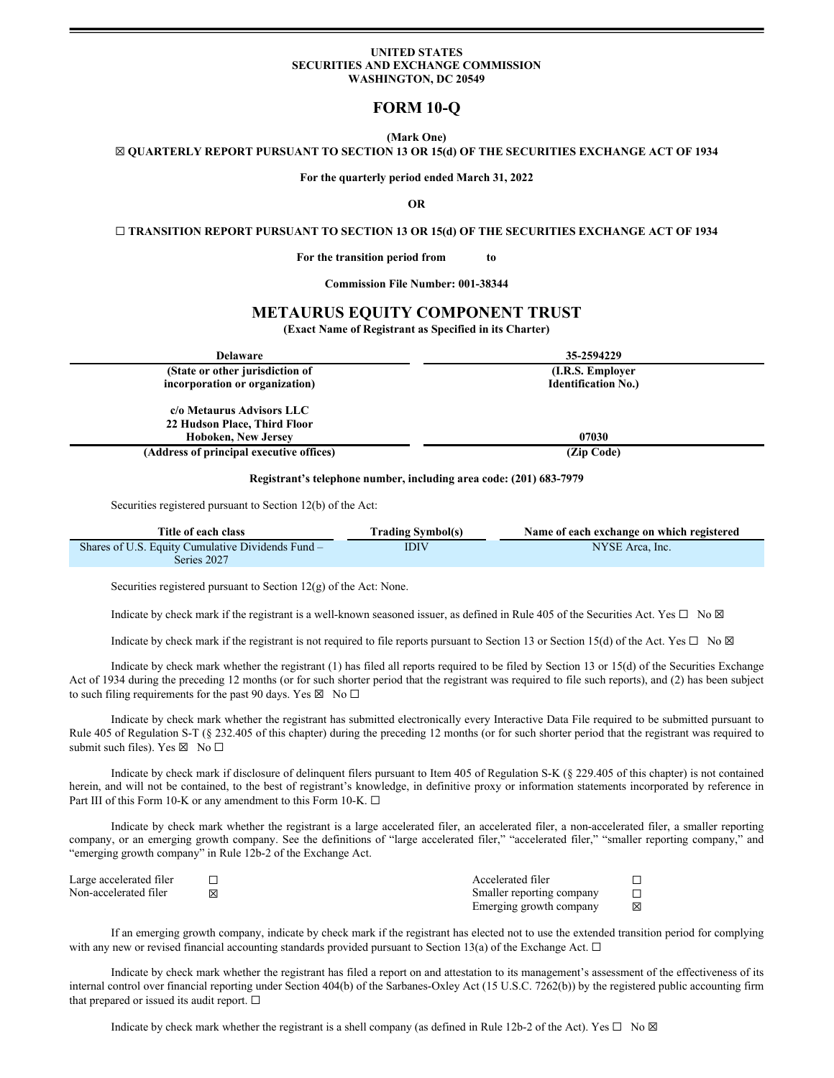#### **UNITED STATES SECURITIES AND EXCHANGE COMMISSION WASHINGTON, DC 20549**

# **FORM 10-Q**

**(Mark One)**

☒ **QUARTERLY REPORT PURSUANT TO SECTION 13 OR 15(d) OF THE SECURITIES EXCHANGE ACT OF 1934**

**For the quarterly period ended March 31, 2022**

**OR**

☐ **TRANSITION REPORT PURSUANT TO SECTION 13 OR 15(d) OF THE SECURITIES EXCHANGE ACT OF 1934**

**For the transition period from to** 

**Commission File Number: 001-38344**

# **METAURUS EQUITY COMPONENT TRUST**

**(Exact Name of Registrant as Specified in its Charter)**

| <b>Delaware</b>                                                    | 35-2594229                 |
|--------------------------------------------------------------------|----------------------------|
| (State or other jurisdiction of                                    | (I.R.S. Employer)          |
| incorporation or organization)                                     | <b>Identification No.)</b> |
| c/o Metaurus Advisors LLC                                          |                            |
| 22 Hudson Place, Third Floor                                       |                            |
| <b>Hoboken, New Jersey</b>                                         | 07030                      |
| (Address of principal executive offices)                           | (Zip Code)                 |
| Registrant's telephone number, including area code: (201) 683-7979 |                            |
| Securities registered pursuant to Section 12(b) of the Act:        |                            |

| Title of each class                               | <b>Trading Symbol(s)</b> | Name of each exchange on which registered |
|---------------------------------------------------|--------------------------|-------------------------------------------|
| Shares of U.S. Equity Cumulative Dividends Fund – | <b>IDIV</b>              | NYSE Area, Inc.                           |
| Series 2027                                       |                          |                                           |

Securities registered pursuant to Section 12(g) of the Act: None.

Indicate by check mark if the registrant is a well-known seasoned issuer, as defined in Rule 405 of the Securities Act. Yes  $\Box$  No  $\boxtimes$ 

Indicate by check mark if the registrant is not required to file reports pursuant to Section 13 or Section 15(d) of the Act. Yes  $\Box$  No  $\boxtimes$ 

Indicate by check mark whether the registrant (1) has filed all reports required to be filed by Section 13 or 15(d) of the Securities Exchange Act of 1934 during the preceding 12 months (or for such shorter period that the registrant was required to file such reports), and (2) has been subject to such filing requirements for the past 90 days. Yes  $\boxtimes \text{ No } \square$ 

Indicate by check mark whether the registrant has submitted electronically every Interactive Data File required to be submitted pursuant to Rule 405 of Regulation S-T (§ 232.405 of this chapter) during the preceding 12 months (or for such shorter period that the registrant was required to submit such files). Yes  $\boxtimes$  No  $\square$ 

Indicate by check mark if disclosure of delinquent filers pursuant to Item 405 of Regulation S-K (§ 229.405 of this chapter) is not contained herein, and will not be contained, to the best of registrant's knowledge, in definitive proxy or information statements incorporated by reference in Part III of this Form 10-K or any amendment to this Form 10-K. □

Indicate by check mark whether the registrant is a large accelerated filer, an accelerated filer, a non-accelerated filer, a smaller reporting company, or an emerging growth company. See the definitions of "large accelerated filer," "accelerated filer," "smaller reporting company," and "emerging growth company" in Rule 12b-2 of the Exchange Act.

| Large accelerated filer | Accelerated filer         |   |
|-------------------------|---------------------------|---|
| Non-accelerated filer   | Smaller reporting company |   |
|                         | Emerging growth company   | ⊠ |

If an emerging growth company, indicate by check mark if the registrant has elected not to use the extended transition period for complying with any new or revised financial accounting standards provided pursuant to Section 13(a) of the Exchange Act.  $\Box$ 

Indicate by check mark whether the registrant has filed a report on and attestation to its management's assessment of the effectiveness of its internal control over financial reporting under Section 404(b) of the Sarbanes-Oxley Act (15 U.S.C. 7262(b)) by the registered public accounting firm that prepared or issued its audit report.  $\square$ 

Indicate by check mark whether the registrant is a shell company (as defined in Rule 12b-2 of the Act). Yes  $\square$  No  $\boxtimes$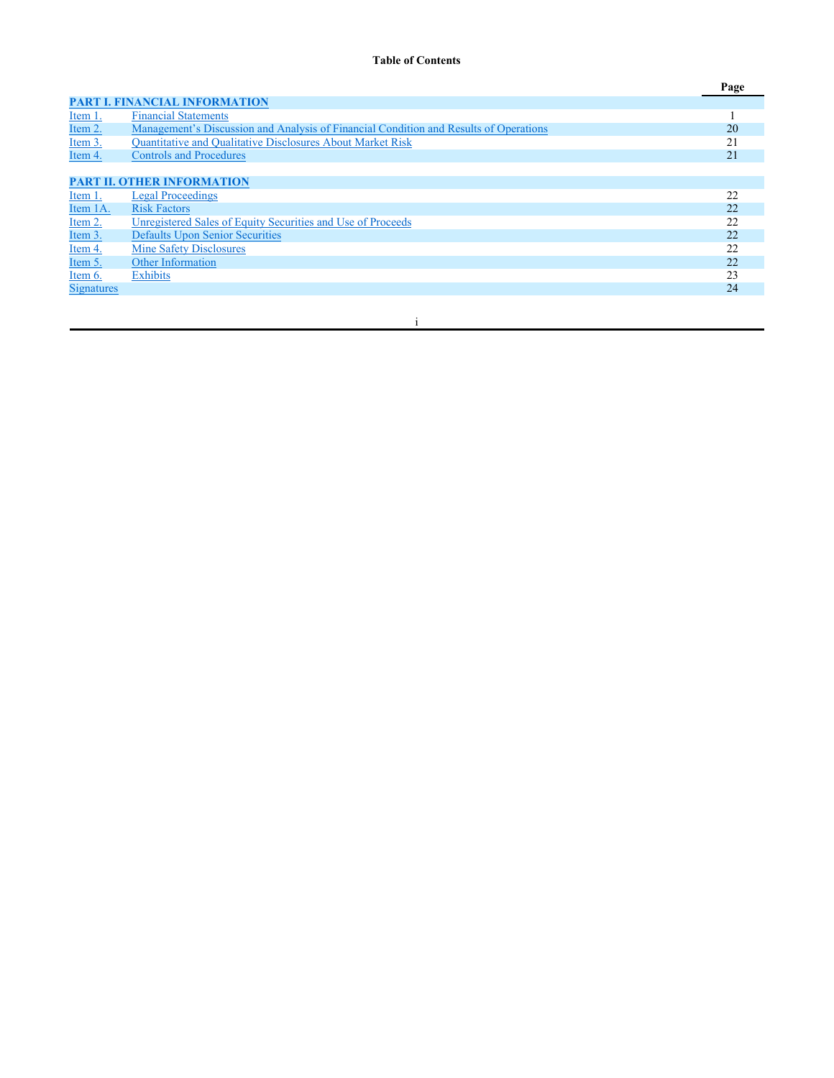# **Table of Contents**

|                   |                                                                                       | Page |
|-------------------|---------------------------------------------------------------------------------------|------|
|                   | <b>PART I. FINANCIAL INFORMATION</b>                                                  |      |
| Item 1.           | <b>Financial Statements</b>                                                           |      |
| Item 2.           | Management's Discussion and Analysis of Financial Condition and Results of Operations | 20   |
| Item 3.           | Quantitative and Qualitative Disclosures About Market Risk                            | 21   |
| Item 4.           | <b>Controls and Procedures</b>                                                        | 21   |
|                   |                                                                                       |      |
|                   | <b>PART II. OTHER INFORMATION</b>                                                     |      |
| Item 1.           | <b>Legal Proceedings</b>                                                              | 22   |
| Item 1A.          | <b>Risk Factors</b>                                                                   | 22   |
| Item 2.           | Unregistered Sales of Equity Securities and Use of Proceeds                           | 22   |
| Item 3.           | <b>Defaults Upon Senior Securities</b>                                                | 22   |
| Item 4.           | <b>Mine Safety Disclosures</b>                                                        | 22   |
| Item 5.           | Other Information                                                                     | 22   |
| Item $6.$         | Exhibits                                                                              | 23   |
| <b>Signatures</b> |                                                                                       | 24   |
|                   |                                                                                       |      |

# i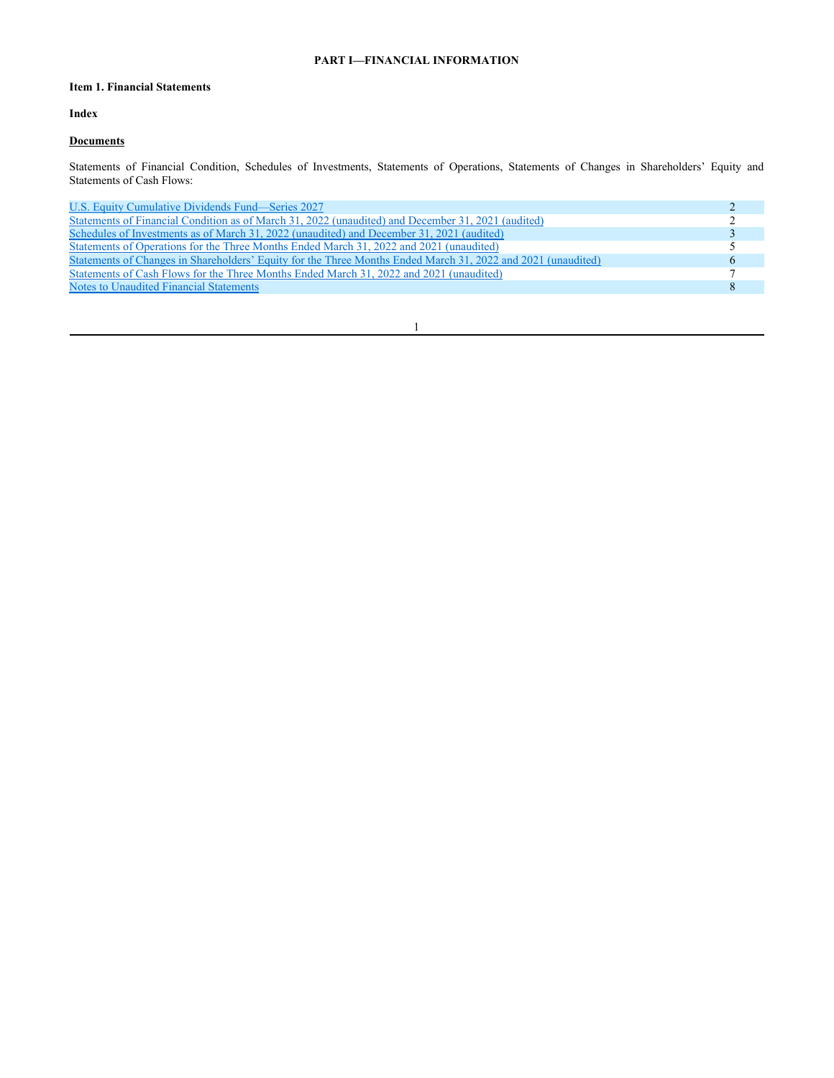# **PART I—FINANCIAL INFORMATION**

## **Item 1. Financial Statements**

## **Index**

# **Documents**

Statements of Financial Condition, Schedules of Investments, Statements of Operations, Statements of Changes in Shareholders' Equity and Statements of Cash Flows:

| U.S. Equity Cumulative Dividends Fund—Series 2027                                                            |  |
|--------------------------------------------------------------------------------------------------------------|--|
| Statements of Financial Condition as of March 31, 2022 (unaudited) and December 31, 2021 (audited)           |  |
| Schedules of Investments as of March 31, 2022 (unaudited) and December 31, 2021 (audited)                    |  |
| Statements of Operations for the Three Months Ended March 31, 2022 and 2021 (unaudited)                      |  |
| Statements of Changes in Shareholders' Equity for the Three Months Ended March 31, 2022 and 2021 (unaudited) |  |
| Statements of Cash Flows for the Three Months Ended March 31, 2022 and 2021 (unaudited)                      |  |
| Notes to Unaudited Financial Statements                                                                      |  |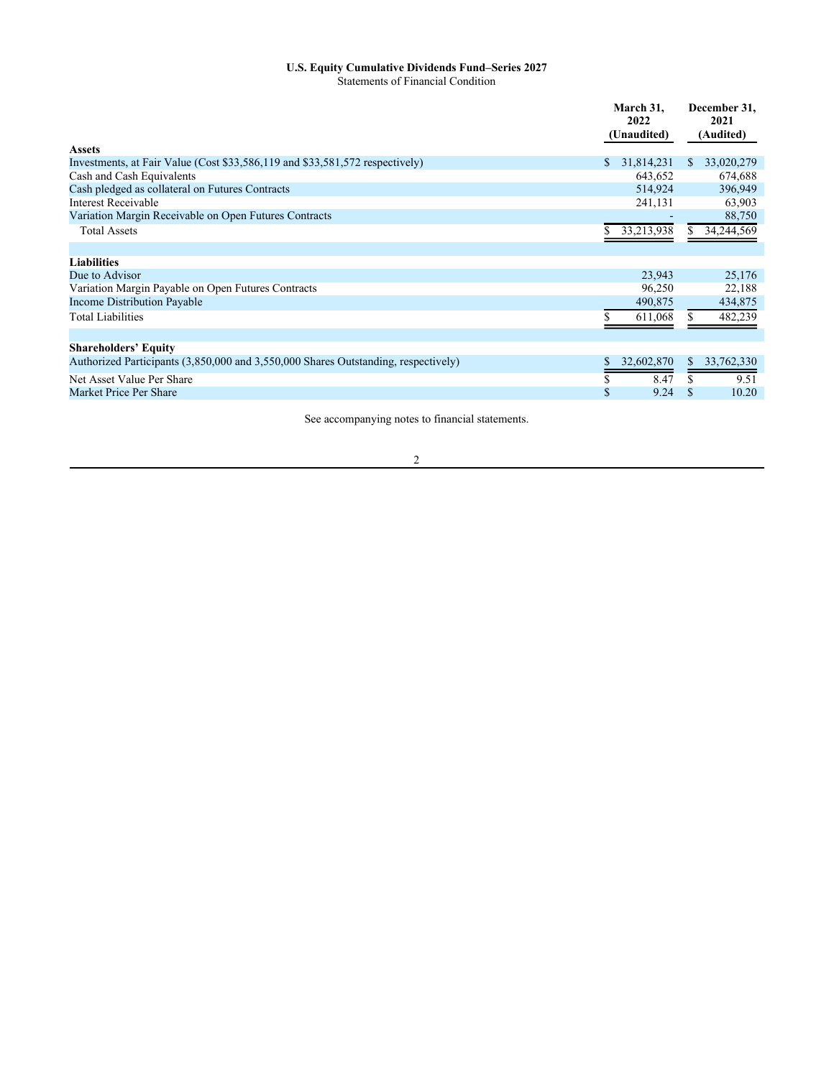## **U.S. Equity Cumulative Dividends Fund–Series 2027** Statements of Financial Condition

**March 31, 2022 (Unaudited) December 31, 2021 (Audited) Assets** Investments, at Fair Value (Cost \$33,586,119 and \$33,581,572 respectively) \$ 31,814,231 \$ 33,020,279 Cash and Cash Equivalents 643,652 674,688 63,652 674,688 643,652 674,688 643,652 674,688 643,652 674,688 643,652 674,688 643,652 652 674,688 643,652 652 674,688 643,652 674,688 643,652 652 674,688 643,652 652 652 652 652 6 Cash pledged as collateral on Futures Contracts 514,924 396,949<br>
Interest Receivable 514,924 396,949<br>
514,924 396,949<br>
514,924 396,949 Interest Receivable 241,131 63,903<br>
Variation Margin Receivable on Open Futures Contracts 241,131 63,903 Variation Margin Receivable on Open Futures Contracts Total Assets \$ 33,213,938 \$ 34,244,569 **Liabilities** Due to Advisor 23,943 25,176 Variation Margin Payable on Open Futures Contracts 96,250 22,188 Income Distribution Payable **490,875** 434,875 434,875 Total Liabilities  $\begin{array}{cccc} 8 & 611,068 & 8 & 482,239 \end{array}$ **Shareholders' Equity** Authorized Participants (3,850,000 and 3,550,000 Shares Outstanding, respectively)  $\frac{$32,602,870}{$8.47} \frac{$33,762,330}{$8.47}$ <br>Net Asset Value Per Share Net Asset Value Per Share **\$** 8.47 \$ 9.51<br>Market Price Per Share **\$ 9.24 \$** 9.24 \$ 9.24 \$ 10.20 Market Price Per Share

See accompanying notes to financial statements.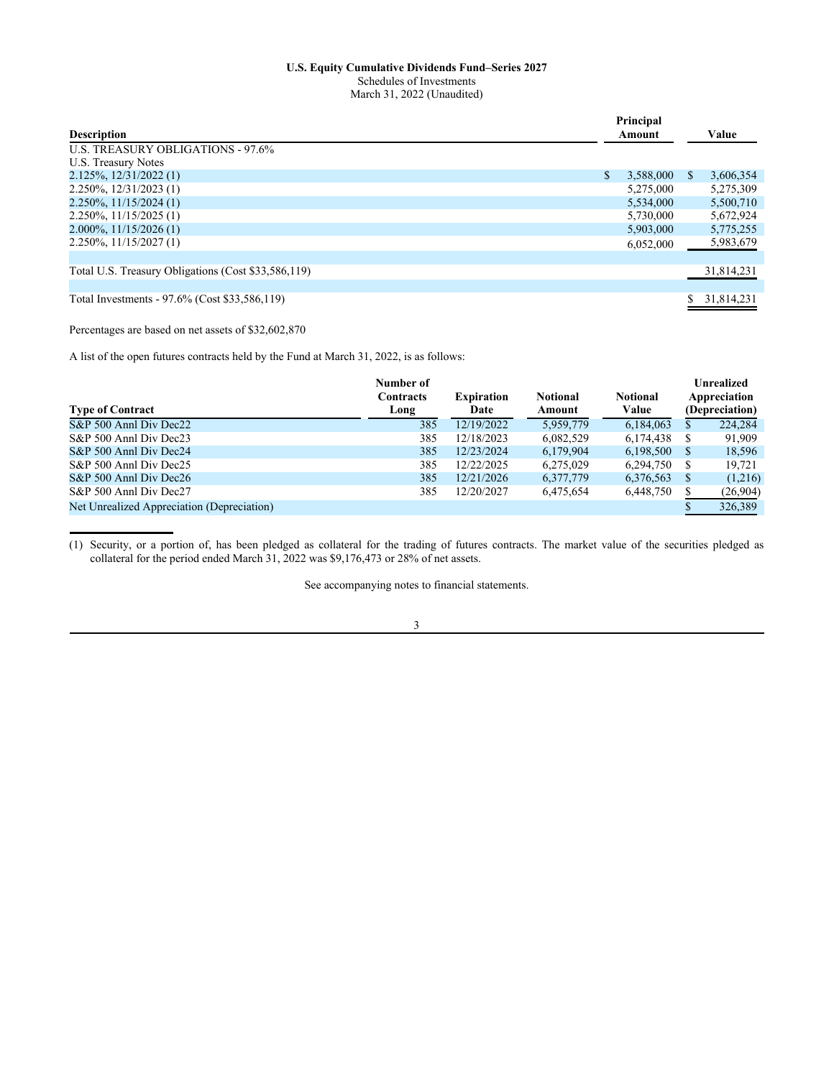# **U.S. Equity Cumulative Dividends Fund–Series 2027**

Schedules of Investments March 31, 2022 (Unaudited)

| <b>Description</b>                                  |              | Principal<br>Amount |    | Value      |
|-----------------------------------------------------|--------------|---------------------|----|------------|
| <b>U.S. TREASURY OBLIGATIONS - 97.6%</b>            |              |                     |    |            |
| U.S. Treasury Notes                                 |              |                     |    |            |
| $2.125\%, 12/31/2022(1)$                            | $\mathbb{S}$ | 3,588,000           |    | 3,606,354  |
| $2.250\%, 12/31/2023(1)$                            |              | 5,275,000           |    | 5,275,309  |
| $2.250\%$ , 11/15/2024 (1)                          |              | 5,534,000           |    | 5,500,710  |
| $2.250\%$ , 11/15/2025 (1)                          |              | 5,730,000           |    | 5,672,924  |
| $2.000\%$ , 11/15/2026 (1)                          |              | 5,903,000           |    | 5,775,255  |
| $2.250\%$ , $11/15/2027(1)$                         |              | 6,052,000           |    | 5,983,679  |
|                                                     |              |                     |    |            |
| Total U.S. Treasury Obligations (Cost \$33,586,119) |              |                     |    | 31,814,231 |
|                                                     |              |                     |    |            |
| Total Investments - 97.6% (Cost \$33,586,119)       |              |                     | S. | 31,814,231 |

Percentages are based on net assets of \$32,602,870

A list of the open futures contracts held by the Fund at March 31, 2022, is as follows:

|                                            | Number of        |                   |                 |                 | <b>Unrealized</b> |
|--------------------------------------------|------------------|-------------------|-----------------|-----------------|-------------------|
|                                            | <b>Contracts</b> | <b>Expiration</b> | <b>Notional</b> | <b>Notional</b> | Appreciation      |
| <b>Type of Contract</b>                    | Long             | Date              | Amount          | Value           | (Depreciation)    |
| S&P 500 Annl Div Dec22                     | 385              | 12/19/2022        | 5.959.779       | 6.184,063       | 224,284           |
| S&P 500 Annl Div Dec23                     | 385              | 12/18/2023        | 6.082.529       | 6,174,438       | 91,909            |
| S&P 500 Annl Div Dec24                     | 385              | 12/23/2024        | 6,179,904       | 6,198,500       | 18,596            |
| S&P 500 Annl Div Dec25                     | 385              | 12/22/2025        | 6.275,029       | 6.294.750       | 19.721            |
| S&P 500 Annl Div Dec26                     | 385              | 12/21/2026        | 6,377,779       | 6,376,563       | (1,216)           |
| S&P 500 Annl Div Dec27                     | 385              | 12/20/2027        | 6,475,654       | 6,448,750       | (26,904)          |
| Net Unrealized Appreciation (Depreciation) |                  |                   |                 |                 | 326,389           |

(1) Security, or a portion of, has been pledged as collateral for the trading of futures contracts. The market value of the securities pledged as collateral for the period ended March 31, 2022 was \$9,176,473 or 28% of net assets.

See accompanying notes to financial statements.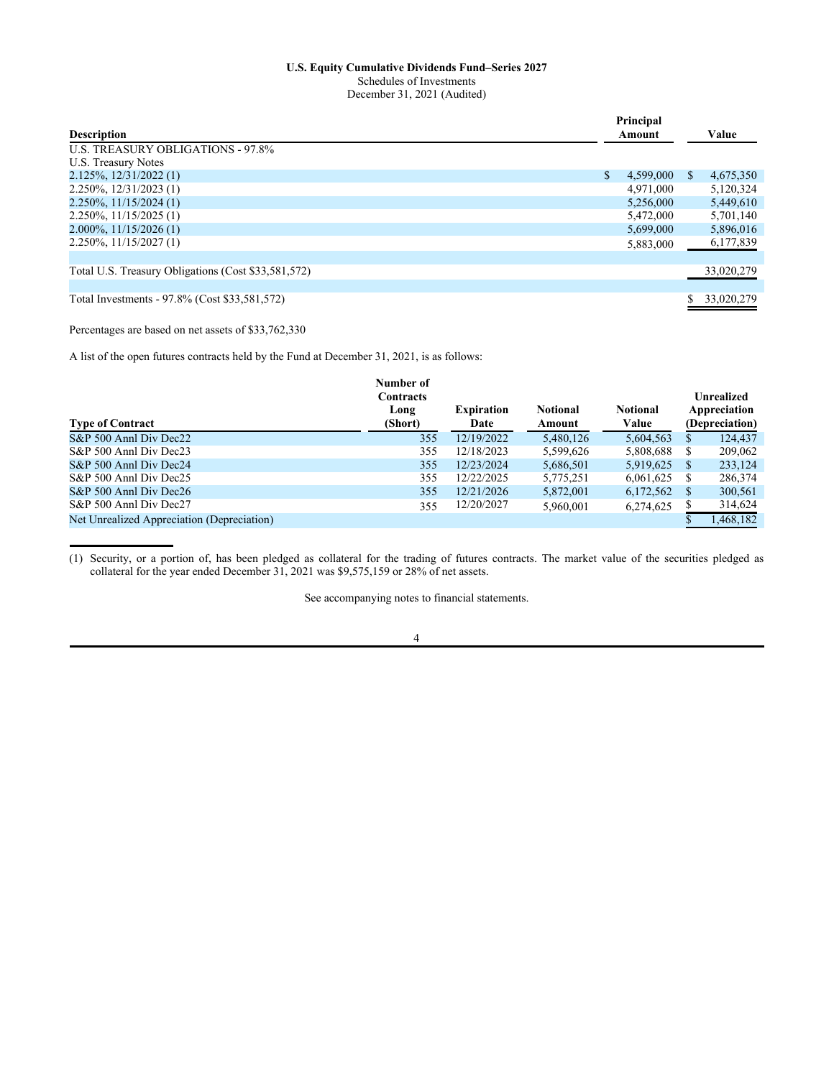# **U.S. Equity Cumulative Dividends Fund–Series 2027**

Schedules of Investments December 31, 2021 (Audited)

|                                                     |  | Principal |    |            |
|-----------------------------------------------------|--|-----------|----|------------|
| <b>Description</b>                                  |  | Amount    |    | Value      |
| <b>U.S. TREASURY OBLIGATIONS - 97.8%</b>            |  |           |    |            |
| U.S. Treasury Notes                                 |  |           |    |            |
| $2.125\%, 12/31/2022(1)$                            |  | 4.599,000 | S. | 4,675,350  |
| $2.250\%$ , $12/31/2023(1)$                         |  | 4.971.000 |    | 5,120,324  |
| $2.250\%$ , 11/15/2024 (1)                          |  | 5,256,000 |    | 5,449,610  |
| $2.250\%$ , 11/15/2025 (1)                          |  | 5,472,000 |    | 5,701,140  |
| $2.000\%$ , 11/15/2026 (1)                          |  | 5,699,000 |    | 5,896,016  |
| $2.250\%, 11/15/2027(1)$                            |  | 5,883,000 |    | 6,177,839  |
|                                                     |  |           |    |            |
| Total U.S. Treasury Obligations (Cost \$33,581,572) |  |           |    | 33,020,279 |
|                                                     |  |           |    |            |
| Total Investments - 97.8% (Cost \$33,581,572)       |  |           |    | 33,020,279 |

Percentages are based on net assets of \$33,762,330

A list of the open futures contracts held by the Fund at December 31, 2021, is as follows:

|                                            | Number of |                   |                 |                 |   |                |
|--------------------------------------------|-----------|-------------------|-----------------|-----------------|---|----------------|
|                                            | Contracts |                   |                 |                 |   | Unrealized     |
|                                            | Long      | <b>Expiration</b> | <b>Notional</b> | <b>Notional</b> |   | Appreciation   |
| <b>Type of Contract</b>                    | (Short)   | Date              | Amount          | Value           |   | (Depreciation) |
| S&P 500 Annl Div Dec22                     | 355       | 12/19/2022        | 5.480.126       | 5,604,563       |   | 124,437        |
| S&P 500 Annl Div Dec23                     | 355       | 12/18/2023        | 5,599,626       | 5,808,688       | S | 209,062        |
| S&P 500 Annl Div Dec24                     | 355       | 12/23/2024        | 5,686,501       | 5,919,625       |   | 233,124        |
| S&P 500 Annl Div Dec25                     | 355       | 12/22/2025        | 5,775,251       | 6,061,625       |   | 286,374        |
| S&P 500 Annl Div Dec26                     | 355       | 12/21/2026        | 5,872,001       | 6,172,562       | S | 300,561        |
| S&P 500 Annl Div Dec27                     | 355       | 12/20/2027        | 5,960,001       | 6.274.625       |   | 314,624        |
| Net Unrealized Appreciation (Depreciation) |           |                   |                 |                 |   | 1,468,182      |

(1) Security, or a portion of, has been pledged as collateral for the trading of futures contracts. The market value of the securities pledged as collateral for the year ended December 31, 2021 was \$9,575,159 or 28% of net assets.

See accompanying notes to financial statements.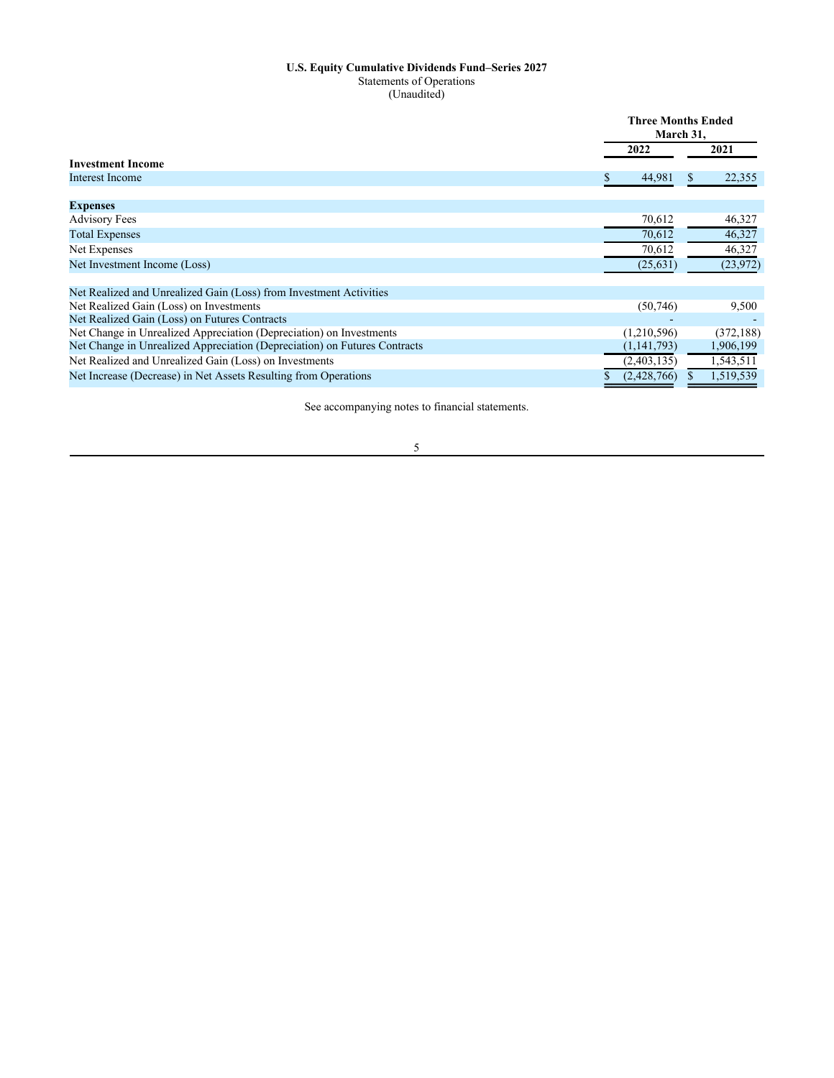## **U.S. Equity Cumulative Dividends Fund–Series 2027** Statements of Operations (Unaudited)

|                                                                           |   |               | <b>Three Months Ended</b><br>March 31. |            |
|---------------------------------------------------------------------------|---|---------------|----------------------------------------|------------|
|                                                                           |   | 2022          |                                        | 2021       |
| <b>Investment Income</b>                                                  |   |               |                                        |            |
| Interest Income                                                           | S | 44,981        | \$.                                    | 22,355     |
|                                                                           |   |               |                                        |            |
| <b>Expenses</b>                                                           |   |               |                                        |            |
| <b>Advisory Fees</b>                                                      |   | 70,612        |                                        | 46,327     |
| <b>Total Expenses</b>                                                     |   | 70.612        |                                        | 46,327     |
| Net Expenses                                                              |   | 70,612        |                                        | 46,327     |
| Net Investment Income (Loss)                                              |   | (25, 631)     |                                        | (23, 972)  |
| Net Realized and Unrealized Gain (Loss) from Investment Activities        |   |               |                                        |            |
| Net Realized Gain (Loss) on Investments                                   |   | (50,746)      |                                        | 9,500      |
| Net Realized Gain (Loss) on Futures Contracts                             |   |               |                                        |            |
| Net Change in Unrealized Appreciation (Depreciation) on Investments       |   | (1,210,596)   |                                        | (372, 188) |
| Net Change in Unrealized Appreciation (Depreciation) on Futures Contracts |   | (1, 141, 793) |                                        | 1,906,199  |
| Net Realized and Unrealized Gain (Loss) on Investments                    |   | (2,403,135)   |                                        | 1,543,511  |
| Net Increase (Decrease) in Net Assets Resulting from Operations           |   | (2,428,766)   |                                        | 1,519,539  |

See accompanying notes to financial statements.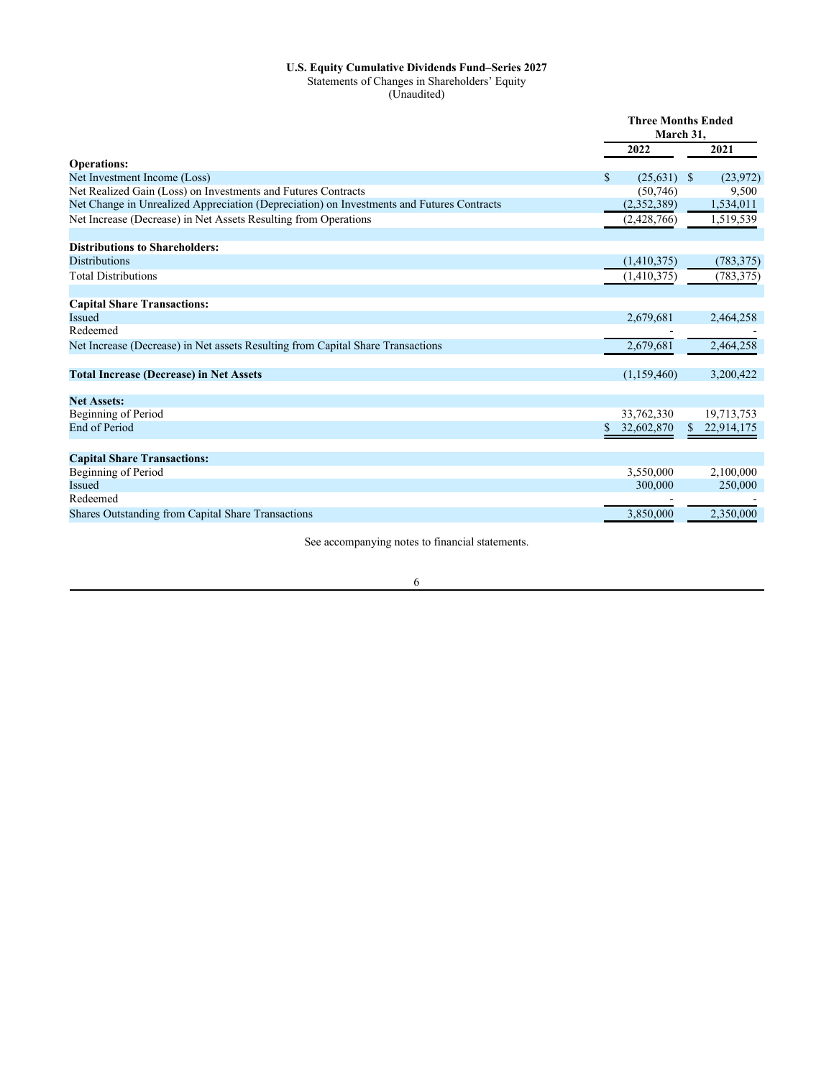## **U.S. Equity Cumulative Dividends Fund–Series 2027**

Statements of Changes in Shareholders' Equity

(Unaudited)

|                                                                                           | <b>Three Months Ended</b><br>March 31, |             |    |            |
|-------------------------------------------------------------------------------------------|----------------------------------------|-------------|----|------------|
|                                                                                           |                                        | 2022        |    | 2021       |
| <b>Operations:</b>                                                                        |                                        |             |    |            |
| Net Investment Income (Loss)                                                              | \$                                     | (25, 631)   | -S | (23, 972)  |
| Net Realized Gain (Loss) on Investments and Futures Contracts                             |                                        | (50,746)    |    | 9,500      |
| Net Change in Unrealized Appreciation (Depreciation) on Investments and Futures Contracts |                                        | (2,352,389) |    | 1,534,011  |
| Net Increase (Decrease) in Net Assets Resulting from Operations                           |                                        | (2,428,766) |    | 1,519,539  |
| <b>Distributions to Shareholders:</b>                                                     |                                        |             |    |            |
| <b>Distributions</b>                                                                      |                                        | (1,410,375) |    | (783, 375) |
| <b>Total Distributions</b>                                                                |                                        | (1,410,375) |    | (783, 375) |
| <b>Capital Share Transactions:</b>                                                        |                                        |             |    |            |
| Issued                                                                                    |                                        | 2,679,681   |    | 2,464,258  |
| Redeemed                                                                                  |                                        |             |    |            |
| Net Increase (Decrease) in Net assets Resulting from Capital Share Transactions           |                                        | 2,679,681   |    | 2,464,258  |
| <b>Total Increase (Decrease) in Net Assets</b>                                            |                                        | (1,159,460) |    | 3,200,422  |
| <b>Net Assets:</b>                                                                        |                                        |             |    |            |
| Beginning of Period                                                                       |                                        | 33,762,330  |    | 19,713,753 |
| End of Period                                                                             | S.                                     | 32,602,870  | S. | 22,914,175 |
| <b>Capital Share Transactions:</b>                                                        |                                        |             |    |            |
| Beginning of Period                                                                       |                                        | 3,550,000   |    | 2,100,000  |
| Issued                                                                                    |                                        | 300,000     |    | 250,000    |
| Redeemed                                                                                  |                                        |             |    |            |
| Shares Outstanding from Capital Share Transactions                                        |                                        | 3,850,000   |    | 2,350,000  |

See accompanying notes to financial statements.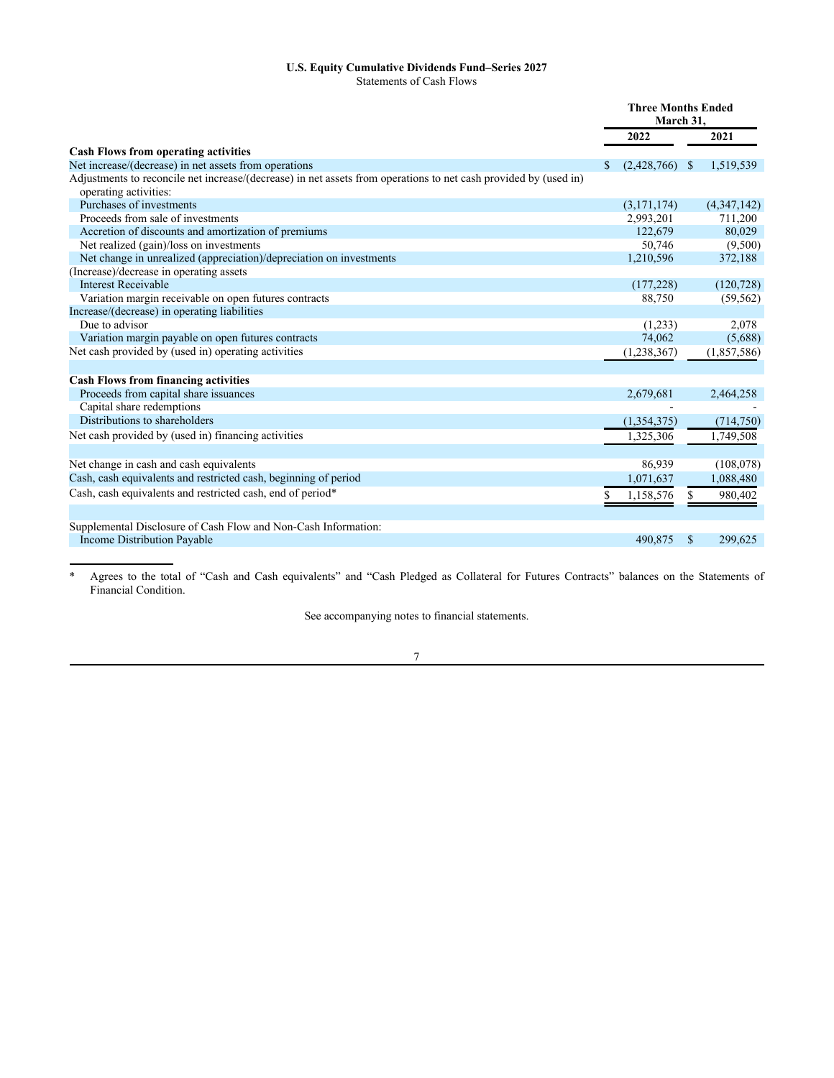## **U.S. Equity Cumulative Dividends Fund–Series 2027** Statements of Cash Flows

|                                                                                                                                           | <b>Three Months Ended</b><br>March 31, |             |              |             |
|-------------------------------------------------------------------------------------------------------------------------------------------|----------------------------------------|-------------|--------------|-------------|
|                                                                                                                                           |                                        | 2022        |              | 2021        |
| <b>Cash Flows from operating activities</b>                                                                                               |                                        |             |              |             |
| Net increase/(decrease) in net assets from operations                                                                                     | S                                      | (2,428,766) | <sup>S</sup> | 1,519,539   |
| Adjustments to reconcile net increase/(decrease) in net assets from operations to net cash provided by (used in)<br>operating activities: |                                        |             |              |             |
| Purchases of investments                                                                                                                  |                                        | (3,171,174) |              | (4,347,142) |
| Proceeds from sale of investments                                                                                                         |                                        | 2,993,201   |              | 711,200     |
| Accretion of discounts and amortization of premiums                                                                                       |                                        | 122,679     |              | 80,029      |
| Net realized (gain)/loss on investments                                                                                                   |                                        | 50,746      |              | (9,500)     |
| Net change in unrealized (appreciation)/depreciation on investments                                                                       |                                        | 1,210,596   |              | 372,188     |
| (Increase)/decrease in operating assets                                                                                                   |                                        |             |              |             |
| <b>Interest Receivable</b>                                                                                                                |                                        | (177, 228)  |              | (120, 728)  |
| Variation margin receivable on open futures contracts                                                                                     |                                        | 88,750      |              | (59, 562)   |
| Increase/(decrease) in operating liabilities                                                                                              |                                        |             |              |             |
| Due to advisor                                                                                                                            |                                        | (1,233)     |              | 2,078       |
| Variation margin payable on open futures contracts                                                                                        |                                        | 74,062      |              | (5,688)     |
| Net cash provided by (used in) operating activities                                                                                       |                                        | (1,238,367) |              | (1,857,586) |
| <b>Cash Flows from financing activities</b>                                                                                               |                                        |             |              |             |
| Proceeds from capital share issuances                                                                                                     |                                        | 2,679,681   |              | 2,464,258   |
| Capital share redemptions                                                                                                                 |                                        |             |              |             |
| Distributions to shareholders                                                                                                             |                                        | (1,354,375) |              | (714, 750)  |
| Net cash provided by (used in) financing activities                                                                                       |                                        | 1,325,306   |              | 1,749,508   |
| Net change in cash and cash equivalents                                                                                                   |                                        | 86,939      |              | (108,078)   |
| Cash, cash equivalents and restricted cash, beginning of period                                                                           |                                        | 1,071,637   |              | 1,088,480   |
| Cash, cash equivalents and restricted cash, end of period*                                                                                | \$                                     | 1,158,576   | \$           | 980,402     |
|                                                                                                                                           |                                        |             |              |             |
| Supplemental Disclosure of Cash Flow and Non-Cash Information:                                                                            |                                        |             |              |             |
| Income Distribution Payable                                                                                                               |                                        | 490,875     | <b>S</b>     | 299.625     |

\* Agrees to the total of "Cash and Cash equivalents" and "Cash Pledged as Collateral for Futures Contracts" balances on the Statements of Financial Condition.

See accompanying notes to financial statements.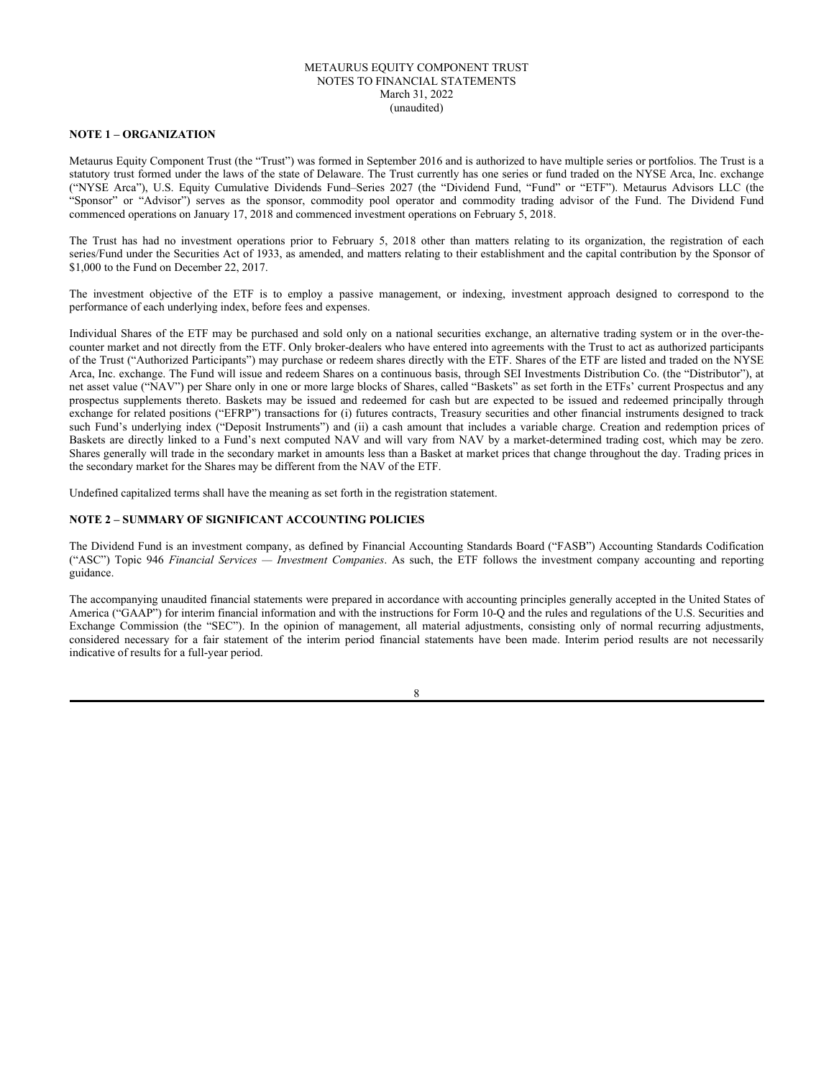## **NOTE 1 – ORGANIZATION**

Metaurus Equity Component Trust (the "Trust") was formed in September 2016 and is authorized to have multiple series or portfolios. The Trust is a statutory trust formed under the laws of the state of Delaware. The Trust currently has one series or fund traded on the NYSE Arca, Inc. exchange ("NYSE Arca"), U.S. Equity Cumulative Dividends Fund–Series 2027 (the "Dividend Fund, "Fund" or "ETF"). Metaurus Advisors LLC (the "Sponsor" or "Advisor") serves as the sponsor, commodity pool operator and commodity trading advisor of the Fund. The Dividend Fund commenced operations on January 17, 2018 and commenced investment operations on February 5, 2018.

The Trust has had no investment operations prior to February 5, 2018 other than matters relating to its organization, the registration of each series/Fund under the Securities Act of 1933, as amended, and matters relating to their establishment and the capital contribution by the Sponsor of \$1,000 to the Fund on December 22, 2017.

The investment objective of the ETF is to employ a passive management, or indexing, investment approach designed to correspond to the performance of each underlying index, before fees and expenses.

Individual Shares of the ETF may be purchased and sold only on a national securities exchange, an alternative trading system or in the over-thecounter market and not directly from the ETF. Only broker-dealers who have entered into agreements with the Trust to act as authorized participants of the Trust ("Authorized Participants") may purchase or redeem shares directly with the ETF. Shares of the ETF are listed and traded on the NYSE Arca, Inc. exchange. The Fund will issue and redeem Shares on a continuous basis, through SEI Investments Distribution Co. (the "Distributor"), at net asset value ("NAV") per Share only in one or more large blocks of Shares, called "Baskets" as set forth in the ETFs' current Prospectus and any prospectus supplements thereto. Baskets may be issued and redeemed for cash but are expected to be issued and redeemed principally through exchange for related positions ("EFRP") transactions for (i) futures contracts, Treasury securities and other financial instruments designed to track such Fund's underlying index ("Deposit Instruments") and (ii) a cash amount that includes a variable charge. Creation and redemption prices of Baskets are directly linked to a Fund's next computed NAV and will vary from NAV by a market-determined trading cost, which may be zero. Shares generally will trade in the secondary market in amounts less than a Basket at market prices that change throughout the day. Trading prices in the secondary market for the Shares may be different from the NAV of the ETF.

Undefined capitalized terms shall have the meaning as set forth in the registration statement.

#### **NOTE 2 – SUMMARY OF SIGNIFICANT ACCOUNTING POLICIES**

The Dividend Fund is an investment company, as defined by Financial Accounting Standards Board ("FASB") Accounting Standards Codification ("ASC") Topic 946 *Financial Services — Investment Companies*. As such, the ETF follows the investment company accounting and reporting guidance.

The accompanying unaudited financial statements were prepared in accordance with accounting principles generally accepted in the United States of America ("GAAP") for interim financial information and with the instructions for Form 10-Q and the rules and regulations of the U.S. Securities and Exchange Commission (the "SEC"). In the opinion of management, all material adjustments, consisting only of normal recurring adjustments, considered necessary for a fair statement of the interim period financial statements have been made. Interim period results are not necessarily indicative of results for a full-year period.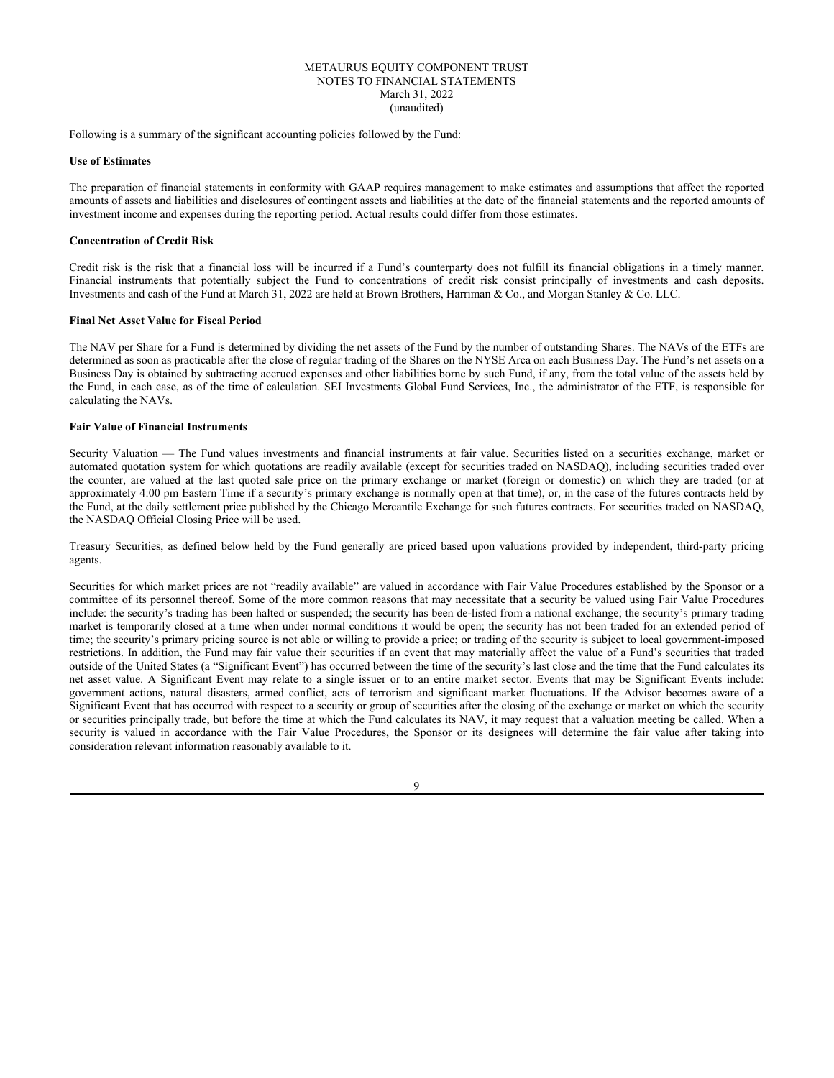Following is a summary of the significant accounting policies followed by the Fund:

#### **Use of Estimates**

The preparation of financial statements in conformity with GAAP requires management to make estimates and assumptions that affect the reported amounts of assets and liabilities and disclosures of contingent assets and liabilities at the date of the financial statements and the reported amounts of investment income and expenses during the reporting period. Actual results could differ from those estimates.

## **Concentration of Credit Risk**

Credit risk is the risk that a financial loss will be incurred if a Fund's counterparty does not fulfill its financial obligations in a timely manner. Financial instruments that potentially subject the Fund to concentrations of credit risk consist principally of investments and cash deposits. Investments and cash of the Fund at March 31, 2022 are held at Brown Brothers, Harriman & Co., and Morgan Stanley & Co. LLC.

## **Final Net Asset Value for Fiscal Period**

The NAV per Share for a Fund is determined by dividing the net assets of the Fund by the number of outstanding Shares. The NAVs of the ETFs are determined as soon as practicable after the close of regular trading of the Shares on the NYSE Arca on each Business Day. The Fund's net assets on a Business Day is obtained by subtracting accrued expenses and other liabilities borne by such Fund, if any, from the total value of the assets held by the Fund, in each case, as of the time of calculation. SEI Investments Global Fund Services, Inc., the administrator of the ETF, is responsible for calculating the NAVs.

#### **Fair Value of Financial Instruments**

Security Valuation — The Fund values investments and financial instruments at fair value. Securities listed on a securities exchange, market or automated quotation system for which quotations are readily available (except for securities traded on NASDAQ), including securities traded over the counter, are valued at the last quoted sale price on the primary exchange or market (foreign or domestic) on which they are traded (or at approximately 4:00 pm Eastern Time if a security's primary exchange is normally open at that time), or, in the case of the futures contracts held by the Fund, at the daily settlement price published by the Chicago Mercantile Exchange for such futures contracts. For securities traded on NASDAQ, the NASDAQ Official Closing Price will be used.

Treasury Securities, as defined below held by the Fund generally are priced based upon valuations provided by independent, third-party pricing agents.

Securities for which market prices are not "readily available" are valued in accordance with Fair Value Procedures established by the Sponsor or a committee of its personnel thereof. Some of the more common reasons that may necessitate that a security be valued using Fair Value Procedures include: the security's trading has been halted or suspended; the security has been de-listed from a national exchange; the security's primary trading market is temporarily closed at a time when under normal conditions it would be open; the security has not been traded for an extended period of time; the security's primary pricing source is not able or willing to provide a price; or trading of the security is subject to local government-imposed restrictions. In addition, the Fund may fair value their securities if an event that may materially affect the value of a Fund's securities that traded outside of the United States (a "Significant Event") has occurred between the time of the security's last close and the time that the Fund calculates its net asset value. A Significant Event may relate to a single issuer or to an entire market sector. Events that may be Significant Events include: government actions, natural disasters, armed conflict, acts of terrorism and significant market fluctuations. If the Advisor becomes aware of a Significant Event that has occurred with respect to a security or group of securities after the closing of the exchange or market on which the security or securities principally trade, but before the time at which the Fund calculates its NAV, it may request that a valuation meeting be called. When a security is valued in accordance with the Fair Value Procedures, the Sponsor or its designees will determine the fair value after taking into consideration relevant information reasonably available to it.

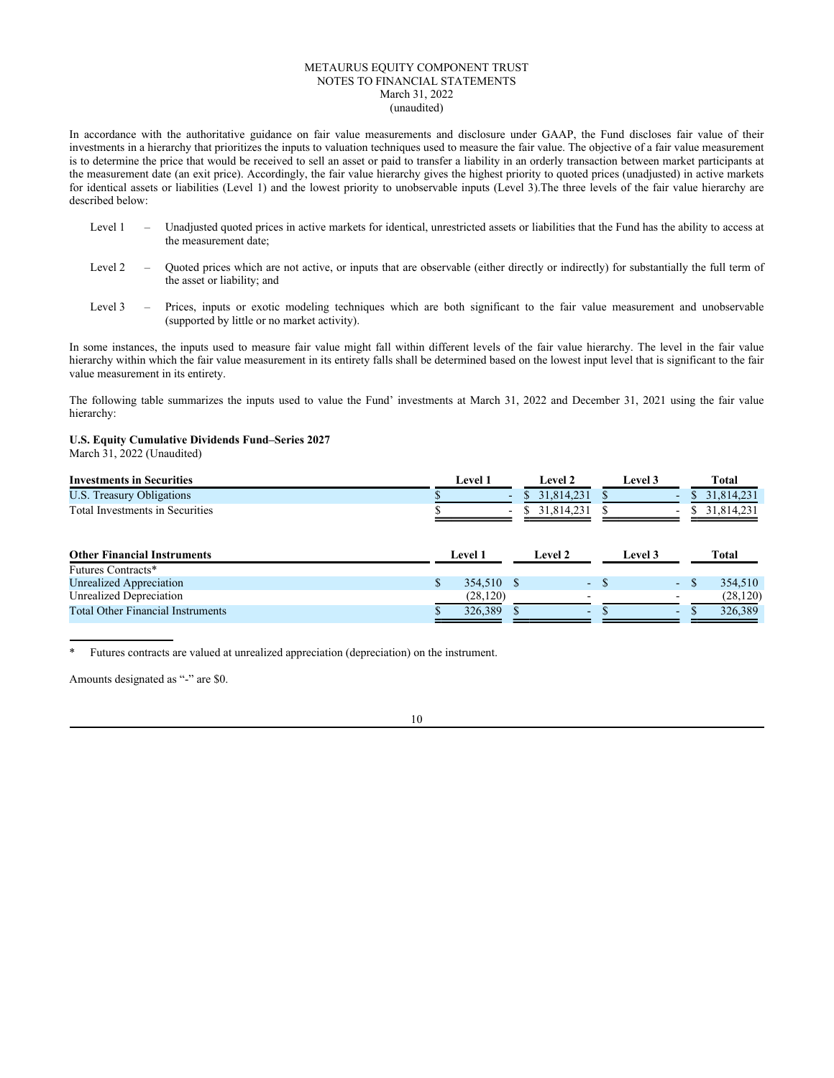In accordance with the authoritative guidance on fair value measurements and disclosure under GAAP, the Fund discloses fair value of their investments in a hierarchy that prioritizes the inputs to valuation techniques used to measure the fair value. The objective of a fair value measurement is to determine the price that would be received to sell an asset or paid to transfer a liability in an orderly transaction between market participants at the measurement date (an exit price). Accordingly, the fair value hierarchy gives the highest priority to quoted prices (unadjusted) in active markets for identical assets or liabilities (Level 1) and the lowest priority to unobservable inputs (Level 3).The three levels of the fair value hierarchy are described below:

- Level 1 Unadjusted quoted prices in active markets for identical, unrestricted assets or liabilities that the Fund has the ability to access at the measurement date;
- Level 2 Quoted prices which are not active, or inputs that are observable (either directly or indirectly) for substantially the full term of the asset or liability; and
- Level 3 Prices, inputs or exotic modeling techniques which are both significant to the fair value measurement and unobservable (supported by little or no market activity).

In some instances, the inputs used to measure fair value might fall within different levels of the fair value hierarchy. The level in the fair value hierarchy within which the fair value measurement in its entirety falls shall be determined based on the lowest input level that is significant to the fair value measurement in its entirety.

The following table summarizes the inputs used to value the Fund' investments at March 31, 2022 and December 31, 2021 using the fair value hierarchy:

#### **U.S. Equity Cumulative Dividends Fund–Series 2027** March 31, 2022 (Unaudited)

| <b>Investments in Securities</b>   | Level 1 | Level 2                  | Level 3        | Total                |
|------------------------------------|---------|--------------------------|----------------|----------------------|
| U.S. Treasury Obligations          |         | 31,814,231<br>$ \lambda$ |                | 31,814,231<br>$\sim$ |
| Total Investments in Securities    |         | 31,814,231<br>- 8        |                | 31,814,231           |
| <b>Other Financial Instruments</b> | Level 1 | Level 2                  | <b>Level 3</b> | Total                |

| Other Philancial Histriches              | LUVU 1    | LUVU 4                   | псусг э |                          | 1 vlai    |  |
|------------------------------------------|-----------|--------------------------|---------|--------------------------|-----------|--|
| Futures Contracts*                       |           |                          |         |                          |           |  |
| Unrealized Appreciation                  | 354.510   | $\sim$                   |         | $\sim$                   | 354.510   |  |
| Unrealized Depreciation                  | (28, 120) | $\overline{\phantom{0}}$ |         | $\overline{\phantom{0}}$ | (28, 120) |  |
| <b>Total Other Financial Instruments</b> | 326,389   | $\sim$                   |         |                          | 326,389   |  |
|                                          |           |                          |         |                          |           |  |

Futures contracts are valued at unrealized appreciation (depreciation) on the instrument.

Amounts designated as "-" are \$0.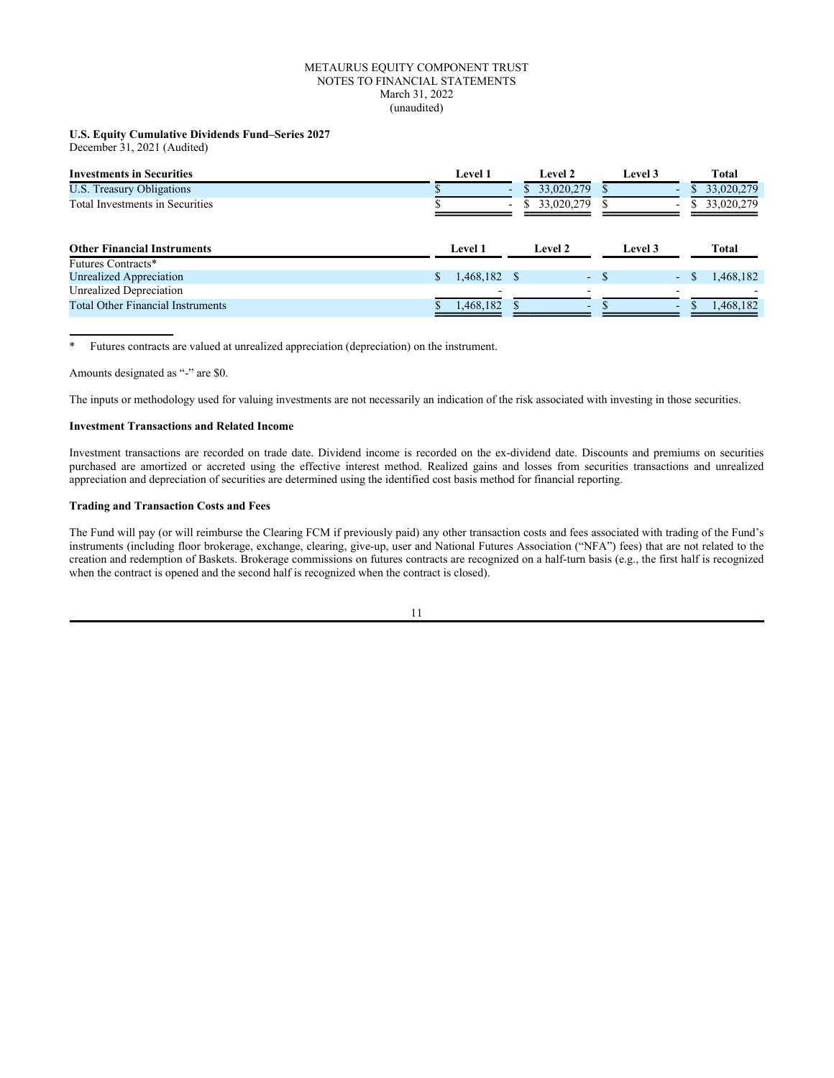# **U.S. Equity Cumulative Dividends Fund–Series 2027**

December 31, 2021 (Audited)

| <b>Investments in Securities</b>   | <b>Level 1</b> | <b>Level 2</b>           | <b>Level 3</b> | Total                   |
|------------------------------------|----------------|--------------------------|----------------|-------------------------|
| U.S. Treasury Obligations          |                | 33,020,279               |                | 33,020,279              |
| Total Investments in Securities    |                | 33,020,279               |                | 33,020,279              |
| <b>Other Financial Instruments</b> | <b>Level 1</b> | <b>Level 2</b>           | Level 3        | Total                   |
| Futures Contracts*                 |                |                          |                |                         |
| Unrealized Appreciation            | 1,468,182 \$   |                          | $-$ \$         | 1,468,182<br>$\sim$ $-$ |
| Unrealized Depreciation            |                | $\overline{\phantom{0}}$ |                |                         |
|                                    |                |                          |                |                         |

\* Futures contracts are valued at unrealized appreciation (depreciation) on the instrument.

Amounts designated as "-" are \$0.

The inputs or methodology used for valuing investments are not necessarily an indication of the risk associated with investing in those securities.

## **Investment Transactions and Related Income**

Investment transactions are recorded on trade date. Dividend income is recorded on the ex-dividend date. Discounts and premiums on securities purchased are amortized or accreted using the effective interest method. Realized gains and losses from securities transactions and unrealized appreciation and depreciation of securities are determined using the identified cost basis method for financial reporting.

## **Trading and Transaction Costs and Fees**

The Fund will pay (or will reimburse the Clearing FCM if previously paid) any other transaction costs and fees associated with trading of the Fund's instruments (including floor brokerage, exchange, clearing, give-up, user and National Futures Association ("NFA") fees) that are not related to the creation and redemption of Baskets. Brokerage commissions on futures contracts are recognized on a half-turn basis (e.g., the first half is recognized when the contract is opened and the second half is recognized when the contract is closed).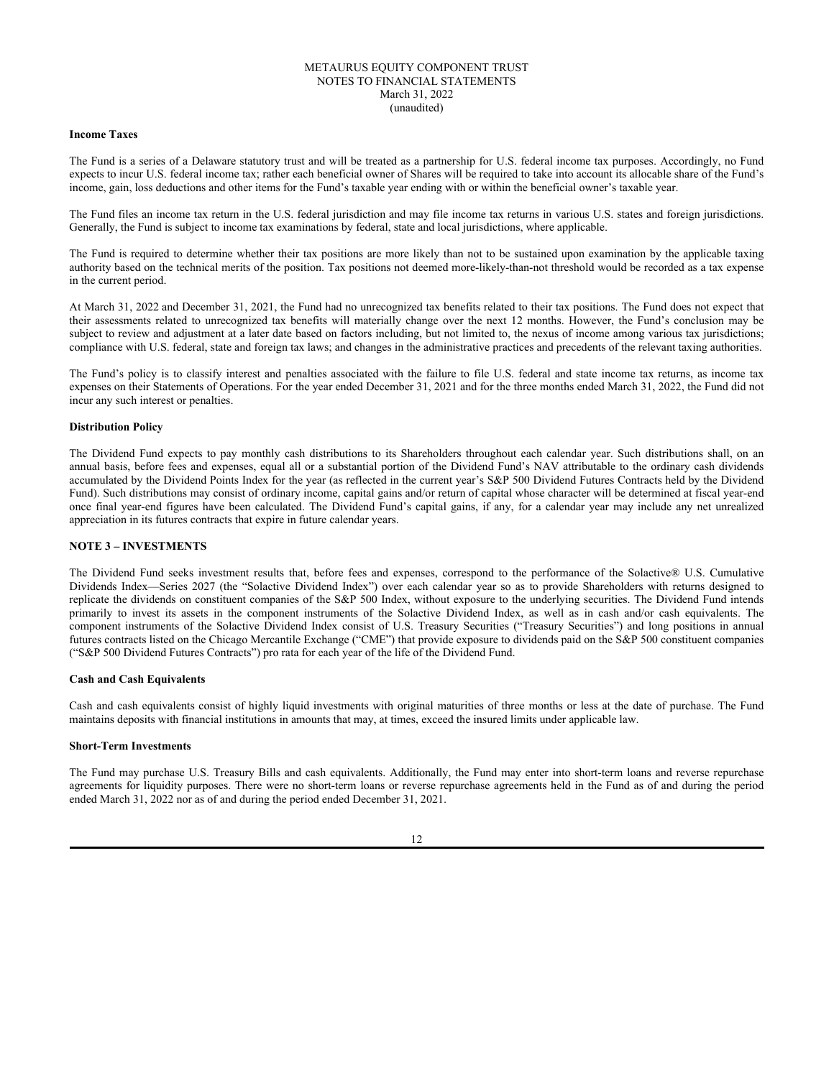## **Income Taxes**

The Fund is a series of a Delaware statutory trust and will be treated as a partnership for U.S. federal income tax purposes. Accordingly, no Fund expects to incur U.S. federal income tax; rather each beneficial owner of Shares will be required to take into account its allocable share of the Fund's income, gain, loss deductions and other items for the Fund's taxable year ending with or within the beneficial owner's taxable year.

The Fund files an income tax return in the U.S. federal jurisdiction and may file income tax returns in various U.S. states and foreign jurisdictions. Generally, the Fund is subject to income tax examinations by federal, state and local jurisdictions, where applicable.

The Fund is required to determine whether their tax positions are more likely than not to be sustained upon examination by the applicable taxing authority based on the technical merits of the position. Tax positions not deemed more-likely-than-not threshold would be recorded as a tax expense in the current period.

At March 31, 2022 and December 31, 2021, the Fund had no unrecognized tax benefits related to their tax positions. The Fund does not expect that their assessments related to unrecognized tax benefits will materially change over the next 12 months. However, the Fund's conclusion may be subject to review and adjustment at a later date based on factors including, but not limited to, the nexus of income among various tax jurisdictions; compliance with U.S. federal, state and foreign tax laws; and changes in the administrative practices and precedents of the relevant taxing authorities.

The Fund's policy is to classify interest and penalties associated with the failure to file U.S. federal and state income tax returns, as income tax expenses on their Statements of Operations. For the year ended December 31, 2021 and for the three months ended March 31, 2022, the Fund did not incur any such interest or penalties.

#### **Distribution Policy**

The Dividend Fund expects to pay monthly cash distributions to its Shareholders throughout each calendar year. Such distributions shall, on an annual basis, before fees and expenses, equal all or a substantial portion of the Dividend Fund's NAV attributable to the ordinary cash dividends accumulated by the Dividend Points Index for the year (as reflected in the current year's S&P 500 Dividend Futures Contracts held by the Dividend Fund). Such distributions may consist of ordinary income, capital gains and/or return of capital whose character will be determined at fiscal year-end once final year-end figures have been calculated. The Dividend Fund's capital gains, if any, for a calendar year may include any net unrealized appreciation in its futures contracts that expire in future calendar years.

## **NOTE 3 – INVESTMENTS**

The Dividend Fund seeks investment results that, before fees and expenses, correspond to the performance of the Solactive® U.S. Cumulative Dividends Index—Series 2027 (the "Solactive Dividend Index") over each calendar year so as to provide Shareholders with returns designed to replicate the dividends on constituent companies of the S&P 500 Index, without exposure to the underlying securities. The Dividend Fund intends primarily to invest its assets in the component instruments of the Solactive Dividend Index, as well as in cash and/or cash equivalents. The component instruments of the Solactive Dividend Index consist of U.S. Treasury Securities ("Treasury Securities") and long positions in annual futures contracts listed on the Chicago Mercantile Exchange ("CME") that provide exposure to dividends paid on the S&P 500 constituent companies ("S&P 500 Dividend Futures Contracts") pro rata for each year of the life of the Dividend Fund.

#### **Cash and Cash Equivalents**

Cash and cash equivalents consist of highly liquid investments with original maturities of three months or less at the date of purchase. The Fund maintains deposits with financial institutions in amounts that may, at times, exceed the insured limits under applicable law.

## **Short-Term Investments**

The Fund may purchase U.S. Treasury Bills and cash equivalents. Additionally, the Fund may enter into short-term loans and reverse repurchase agreements for liquidity purposes. There were no short-term loans or reverse repurchase agreements held in the Fund as of and during the period ended March 31, 2022 nor as of and during the period ended December 31, 2021.

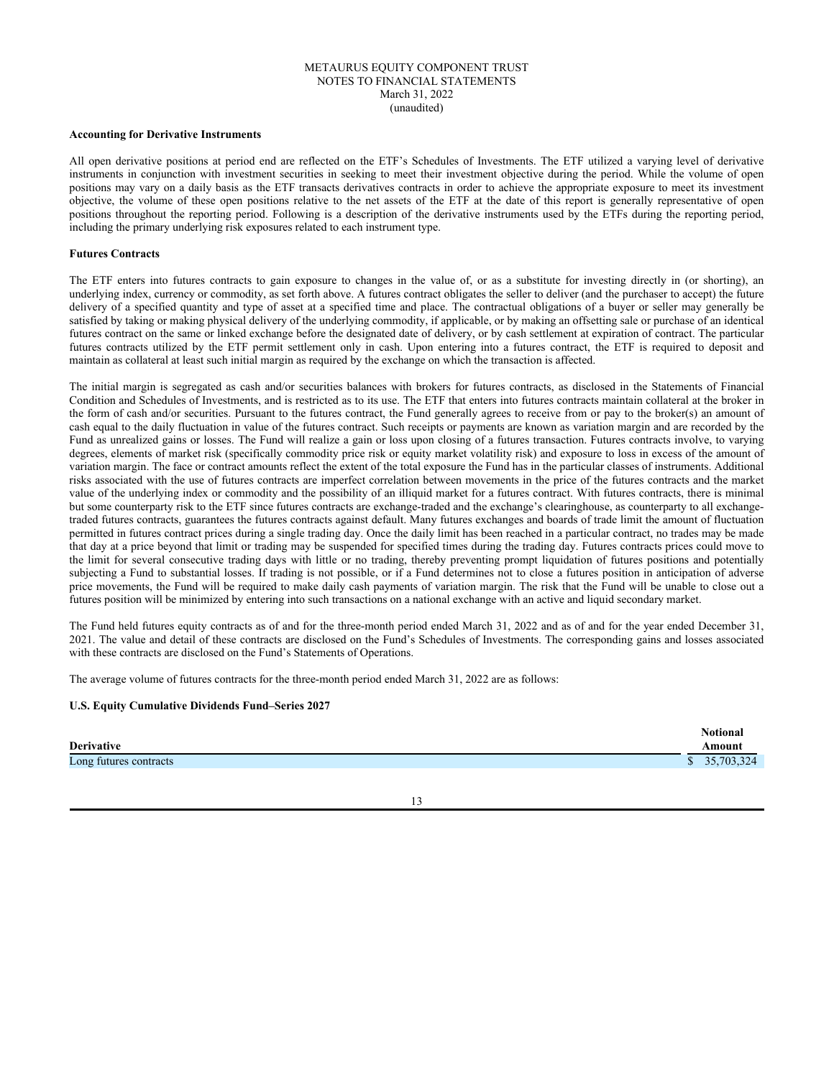#### **Accounting for Derivative Instruments**

All open derivative positions at period end are reflected on the ETF's Schedules of Investments. The ETF utilized a varying level of derivative instruments in conjunction with investment securities in seeking to meet their investment objective during the period. While the volume of open positions may vary on a daily basis as the ETF transacts derivatives contracts in order to achieve the appropriate exposure to meet its investment objective, the volume of these open positions relative to the net assets of the ETF at the date of this report is generally representative of open positions throughout the reporting period. Following is a description of the derivative instruments used by the ETFs during the reporting period, including the primary underlying risk exposures related to each instrument type.

## **Futures Contracts**

The ETF enters into futures contracts to gain exposure to changes in the value of, or as a substitute for investing directly in (or shorting), an underlying index, currency or commodity, as set forth above. A futures contract obligates the seller to deliver (and the purchaser to accept) the future delivery of a specified quantity and type of asset at a specified time and place. The contractual obligations of a buyer or seller may generally be satisfied by taking or making physical delivery of the underlying commodity, if applicable, or by making an offsetting sale or purchase of an identical futures contract on the same or linked exchange before the designated date of delivery, or by cash settlement at expiration of contract. The particular futures contracts utilized by the ETF permit settlement only in cash. Upon entering into a futures contract, the ETF is required to deposit and maintain as collateral at least such initial margin as required by the exchange on which the transaction is affected.

The initial margin is segregated as cash and/or securities balances with brokers for futures contracts, as disclosed in the Statements of Financial Condition and Schedules of Investments, and is restricted as to its use. The ETF that enters into futures contracts maintain collateral at the broker in the form of cash and/or securities. Pursuant to the futures contract, the Fund generally agrees to receive from or pay to the broker(s) an amount of cash equal to the daily fluctuation in value of the futures contract. Such receipts or payments are known as variation margin and are recorded by the Fund as unrealized gains or losses. The Fund will realize a gain or loss upon closing of a futures transaction. Futures contracts involve, to varying degrees, elements of market risk (specifically commodity price risk or equity market volatility risk) and exposure to loss in excess of the amount of variation margin. The face or contract amounts reflect the extent of the total exposure the Fund has in the particular classes of instruments. Additional risks associated with the use of futures contracts are imperfect correlation between movements in the price of the futures contracts and the market value of the underlying index or commodity and the possibility of an illiquid market for a futures contract. With futures contracts, there is minimal but some counterparty risk to the ETF since futures contracts are exchange-traded and the exchange's clearinghouse, as counterparty to all exchangetraded futures contracts, guarantees the futures contracts against default. Many futures exchanges and boards of trade limit the amount of fluctuation permitted in futures contract prices during a single trading day. Once the daily limit has been reached in a particular contract, no trades may be made that day at a price beyond that limit or trading may be suspended for specified times during the trading day. Futures contracts prices could move to the limit for several consecutive trading days with little or no trading, thereby preventing prompt liquidation of futures positions and potentially subjecting a Fund to substantial losses. If trading is not possible, or if a Fund determines not to close a futures position in anticipation of adverse price movements, the Fund will be required to make daily cash payments of variation margin. The risk that the Fund will be unable to close out a futures position will be minimized by entering into such transactions on a national exchange with an active and liquid secondary market.

The Fund held futures equity contracts as of and for the three-month period ended March 31, 2022 and as of and for the year ended December 31, 2021. The value and detail of these contracts are disclosed on the Fund's Schedules of Investments. The corresponding gains and losses associated with these contracts are disclosed on the Fund's Statements of Operations.

The average volume of futures contracts for the three-month period ended March 31, 2022 are as follows:

#### **U.S. Equity Cumulative Dividends Fund–Series 2027**

| <b>Derivative</b>      | Notional<br>Amount |
|------------------------|--------------------|
| Long futures contracts | \$35,703,324       |
|                        |                    |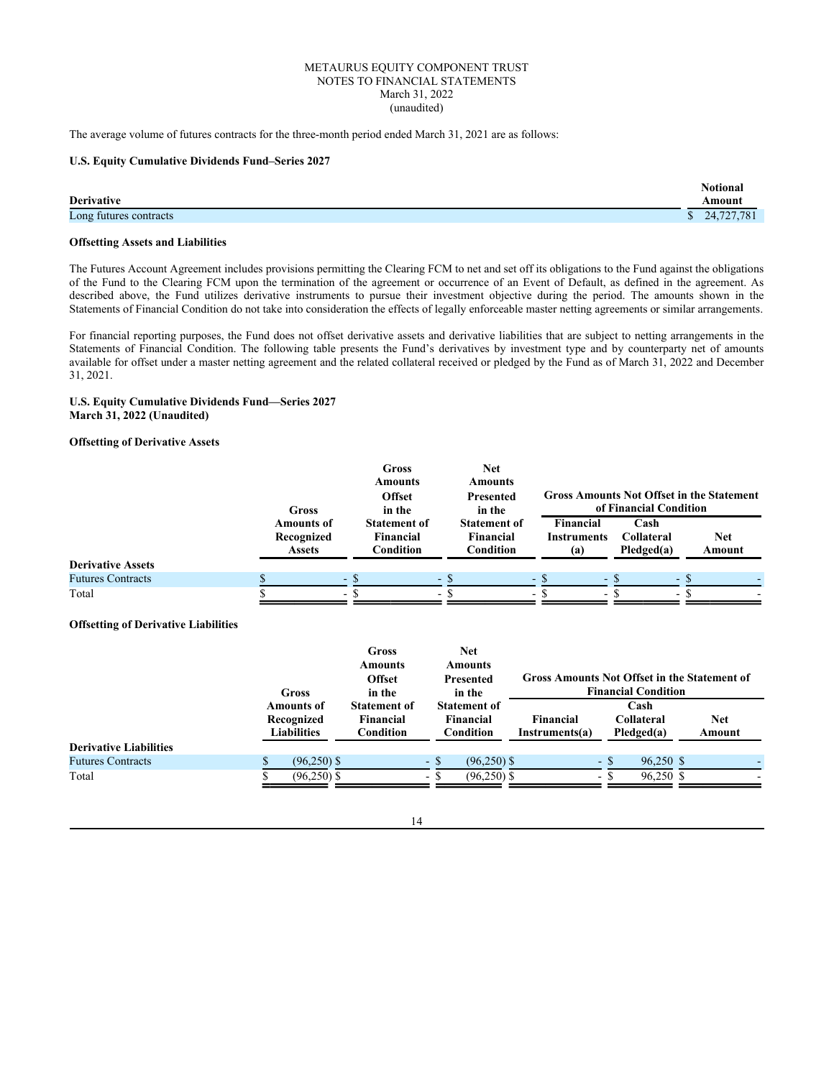The average volume of futures contracts for the three-month period ended March 31, 2021 are as follows:

#### **U.S. Equity Cumulative Dividends Fund–Series 2027**

|                        |              | <b>Notional</b> |
|------------------------|--------------|-----------------|
| <b>Derivative</b>      |              | Amount          |
| Long futures contracts | $\mathbb{S}$ | 24,727,781      |

#### **Offsetting Assets and Liabilities**

The Futures Account Agreement includes provisions permitting the Clearing FCM to net and set off its obligations to the Fund against the obligations of the Fund to the Clearing FCM upon the termination of the agreement or occurrence of an Event of Default, as defined in the agreement. As described above, the Fund utilizes derivative instruments to pursue their investment objective during the period. The amounts shown in the Statements of Financial Condition do not take into consideration the effects of legally enforceable master netting agreements or similar arrangements.

For financial reporting purposes, the Fund does not offset derivative assets and derivative liabilities that are subject to netting arrangements in the Statements of Financial Condition. The following table presents the Fund's derivatives by investment type and by counterparty net of amounts available for offset under a master netting agreement and the related collateral received or pledged by the Fund as of March 31, 2022 and December 31, 2021.

## **U.S. Equity Cumulative Dividends Fund—Series 2027 March 31, 2022 (Unaudited)**

## **Offsetting of Derivative Assets**

|                          | <b>Gross</b>                                     | <b>Gross</b><br>Amounts<br><b>Offset</b><br>in the | <b>Net</b><br>Amounts<br><b>Presented</b><br>in the |                                        | of Financial Condition                  | <b>Gross Amounts Not Offset in the Statement</b> |
|--------------------------|--------------------------------------------------|----------------------------------------------------|-----------------------------------------------------|----------------------------------------|-----------------------------------------|--------------------------------------------------|
|                          | <b>Amounts of</b><br>Recognized<br><b>Assets</b> | <b>Statement of</b><br>Financial<br>Condition      | <b>Statement of</b><br>Financial<br>Condition       | Financial<br><b>Instruments</b><br>(a) | Cash<br><b>Collateral</b><br>Pledged(a) | <b>Net</b><br>Amount                             |
| <b>Derivative Assets</b> |                                                  |                                                    |                                                     |                                        |                                         |                                                  |
| <b>Futures Contracts</b> |                                                  | - \$                                               | - \$                                                | - \$<br>- \$                           | - S                                     |                                                  |
| Total                    |                                                  | - 8                                                | $\overline{\phantom{0}}$                            | - 9<br>- 3                             | - 8                                     |                                                  |

#### **Offsetting of Derivative Liabilities**

|                               | <b>Gross</b>                                          | Gross<br>Amounts                              | Net<br>Amounts                                |                             |                                                                                   |                      |  |  |  |  |
|-------------------------------|-------------------------------------------------------|-----------------------------------------------|-----------------------------------------------|-----------------------------|-----------------------------------------------------------------------------------|----------------------|--|--|--|--|
|                               |                                                       | <b>Offset</b><br>in the                       |                                               | <b>Presented</b><br>in the  | <b>Gross Amounts Not Offset in the Statement of</b><br><b>Financial Condition</b> |                      |  |  |  |  |
|                               | <b>Amounts of</b><br>Recognized<br><b>Liabilities</b> | <b>Statement of</b><br>Financial<br>Condition | <b>Statement of</b><br>Financial<br>Condition | Financial<br>Instruments(a) | Cash<br>Collateral<br>$P$ ledged $(a)$                                            | <b>Net</b><br>Amount |  |  |  |  |
| <b>Derivative Liabilities</b> |                                                       |                                               |                                               |                             |                                                                                   |                      |  |  |  |  |
| <b>Futures Contracts</b>      | $(96,250)$ \$                                         |                                               | $(96,250)$ \$<br>- \$                         |                             | 96,250 \$<br>- \$                                                                 |                      |  |  |  |  |
| Total                         | $(96,250)$ \$                                         |                                               | $(96,250)$ \$<br>- \$                         |                             | 96.250 \$<br>- ১                                                                  |                      |  |  |  |  |

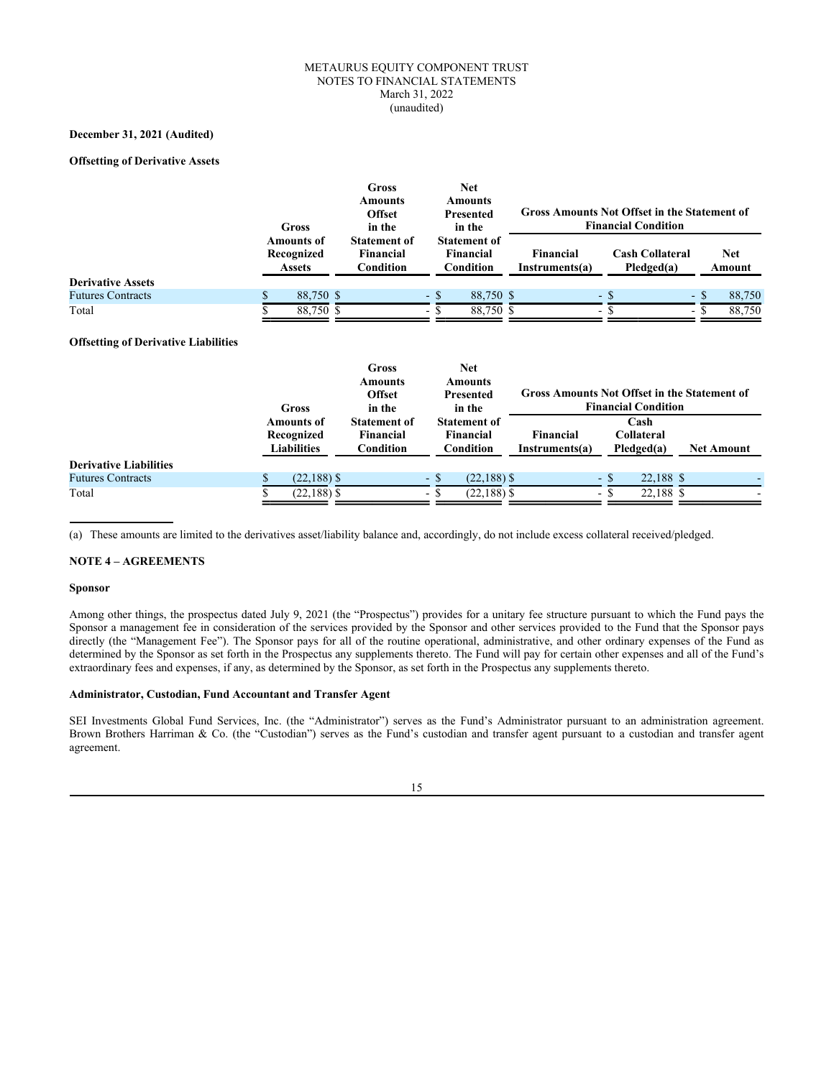## **December 31, 2021 (Audited)**

### **Offsetting of Derivative Assets**

|                          | <b>Gross</b>                                     | <b>Gross</b><br><b>Amounts</b><br><b>Offset</b><br>in the | <b>Net</b><br>Amounts<br>Presented<br>in the  | <b>Gross Amounts Not Offset in the Statement of</b><br><b>Financial Condition</b> |                                            |                      |  |  |
|--------------------------|--------------------------------------------------|-----------------------------------------------------------|-----------------------------------------------|-----------------------------------------------------------------------------------|--------------------------------------------|----------------------|--|--|
|                          | <b>Amounts of</b><br>Recognized<br><b>Assets</b> | <b>Statement of</b><br>Financial<br>Condition             | <b>Statement of</b><br>Financial<br>Condition | Financial<br>Instruments(a)                                                       | <b>Cash Collateral</b><br>$P$ ledged $(a)$ | <b>Net</b><br>Amount |  |  |
| <b>Derivative Assets</b> |                                                  |                                                           |                                               |                                                                                   |                                            |                      |  |  |
| <b>Futures Contracts</b> | 88,750 \$                                        |                                                           | 88,750 \$<br>$-$ S                            |                                                                                   | - \$                                       | 88,750<br>- \$       |  |  |
| Total                    | 88,750 \$                                        |                                                           | 88.750 \$<br>$\sim$ 10                        |                                                                                   | $\overline{\phantom{a}}$                   | 88,750<br>- 8        |  |  |

#### **Offsetting of Derivative Liabilities**

|                               | <b>Gross</b>                                          | Gross<br><b>Amounts</b><br><b>Offset</b><br>in the | <b>Net</b><br>Amounts<br>Presented<br>in the  | <b>Gross Amounts Not Offset in the Statement of</b><br><b>Financial Condition</b> |                                         |                   |
|-------------------------------|-------------------------------------------------------|----------------------------------------------------|-----------------------------------------------|-----------------------------------------------------------------------------------|-----------------------------------------|-------------------|
|                               | <b>Amounts of</b><br>Recognized<br><b>Liabilities</b> | <b>Statement of</b><br>Financial<br>Condition      | <b>Statement of</b><br>Financial<br>Condition | Financial<br>Instruments(a)                                                       | Cash<br><b>Collateral</b><br>Pledged(a) | <b>Net Amount</b> |
| <b>Derivative Liabilities</b> |                                                       |                                                    |                                               |                                                                                   |                                         |                   |
| <b>Futures Contracts</b>      | $(22,188)$ \$                                         |                                                    | $(22,188)$ \$<br>- \$                         |                                                                                   | 22,188 \$<br>- \$                       |                   |
| Total                         | $(22, 188)$ \$                                        |                                                    | $(22,188)$ \$<br>- \$                         |                                                                                   | 22,188 \$<br>- \$                       |                   |

(a) These amounts are limited to the derivatives asset/liability balance and, accordingly, do not include excess collateral received/pledged.

## **NOTE 4 – AGREEMENTS**

#### **Sponsor**

Among other things, the prospectus dated July 9, 2021 (the "Prospectus") provides for a unitary fee structure pursuant to which the Fund pays the Sponsor a management fee in consideration of the services provided by the Sponsor and other services provided to the Fund that the Sponsor pays directly (the "Management Fee"). The Sponsor pays for all of the routine operational, administrative, and other ordinary expenses of the Fund as determined by the Sponsor as set forth in the Prospectus any supplements thereto. The Fund will pay for certain other expenses and all of the Fund's extraordinary fees and expenses, if any, as determined by the Sponsor, as set forth in the Prospectus any supplements thereto.

## **Administrator, Custodian, Fund Accountant and Transfer Agent**

SEI Investments Global Fund Services, Inc. (the "Administrator") serves as the Fund's Administrator pursuant to an administration agreement. Brown Brothers Harriman & Co. (the "Custodian") serves as the Fund's custodian and transfer agent pursuant to a custodian and transfer agent agreement.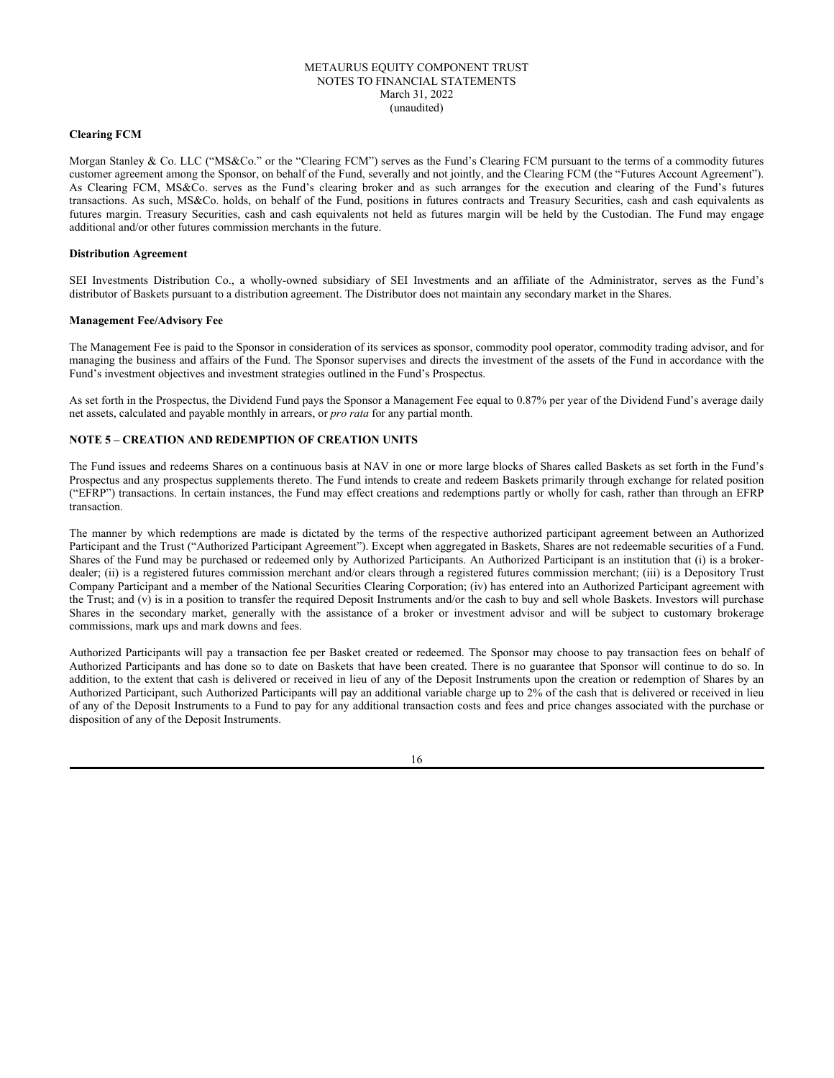## **Clearing FCM**

Morgan Stanley & Co. LLC ("MS&Co." or the "Clearing FCM") serves as the Fund's Clearing FCM pursuant to the terms of a commodity futures customer agreement among the Sponsor, on behalf of the Fund, severally and not jointly, and the Clearing FCM (the "Futures Account Agreement"). As Clearing FCM, MS&Co. serves as the Fund's clearing broker and as such arranges for the execution and clearing of the Fund's futures transactions. As such, MS&Co. holds, on behalf of the Fund, positions in futures contracts and Treasury Securities, cash and cash equivalents as futures margin. Treasury Securities, cash and cash equivalents not held as futures margin will be held by the Custodian. The Fund may engage additional and/or other futures commission merchants in the future.

## **Distribution Agreement**

SEI Investments Distribution Co., a wholly-owned subsidiary of SEI Investments and an affiliate of the Administrator, serves as the Fund's distributor of Baskets pursuant to a distribution agreement. The Distributor does not maintain any secondary market in the Shares.

## **Management Fee/Advisory Fee**

The Management Fee is paid to the Sponsor in consideration of its services as sponsor, commodity pool operator, commodity trading advisor, and for managing the business and affairs of the Fund. The Sponsor supervises and directs the investment of the assets of the Fund in accordance with the Fund's investment objectives and investment strategies outlined in the Fund's Prospectus.

As set forth in the Prospectus, the Dividend Fund pays the Sponsor a Management Fee equal to 0.87% per year of the Dividend Fund's average daily net assets, calculated and payable monthly in arrears, or *pro rata* for any partial month.

## **NOTE 5 – CREATION AND REDEMPTION OF CREATION UNITS**

The Fund issues and redeems Shares on a continuous basis at NAV in one or more large blocks of Shares called Baskets as set forth in the Fund's Prospectus and any prospectus supplements thereto. The Fund intends to create and redeem Baskets primarily through exchange for related position ("EFRP") transactions. In certain instances, the Fund may effect creations and redemptions partly or wholly for cash, rather than through an EFRP transaction.

The manner by which redemptions are made is dictated by the terms of the respective authorized participant agreement between an Authorized Participant and the Trust ("Authorized Participant Agreement"). Except when aggregated in Baskets, Shares are not redeemable securities of a Fund. Shares of the Fund may be purchased or redeemed only by Authorized Participants. An Authorized Participant is an institution that (i) is a brokerdealer; (ii) is a registered futures commission merchant and/or clears through a registered futures commission merchant; (iii) is a Depository Trust Company Participant and a member of the National Securities Clearing Corporation; (iv) has entered into an Authorized Participant agreement with the Trust; and  $(v)$  is in a position to transfer the required Deposit Instruments and/or the cash to buy and sell whole Baskets. Investors will purchase Shares in the secondary market, generally with the assistance of a broker or investment advisor and will be subject to customary brokerage commissions, mark ups and mark downs and fees.

Authorized Participants will pay a transaction fee per Basket created or redeemed. The Sponsor may choose to pay transaction fees on behalf of Authorized Participants and has done so to date on Baskets that have been created. There is no guarantee that Sponsor will continue to do so. In addition, to the extent that cash is delivered or received in lieu of any of the Deposit Instruments upon the creation or redemption of Shares by an Authorized Participant, such Authorized Participants will pay an additional variable charge up to 2% of the cash that is delivered or received in lieu of any of the Deposit Instruments to a Fund to pay for any additional transaction costs and fees and price changes associated with the purchase or disposition of any of the Deposit Instruments.

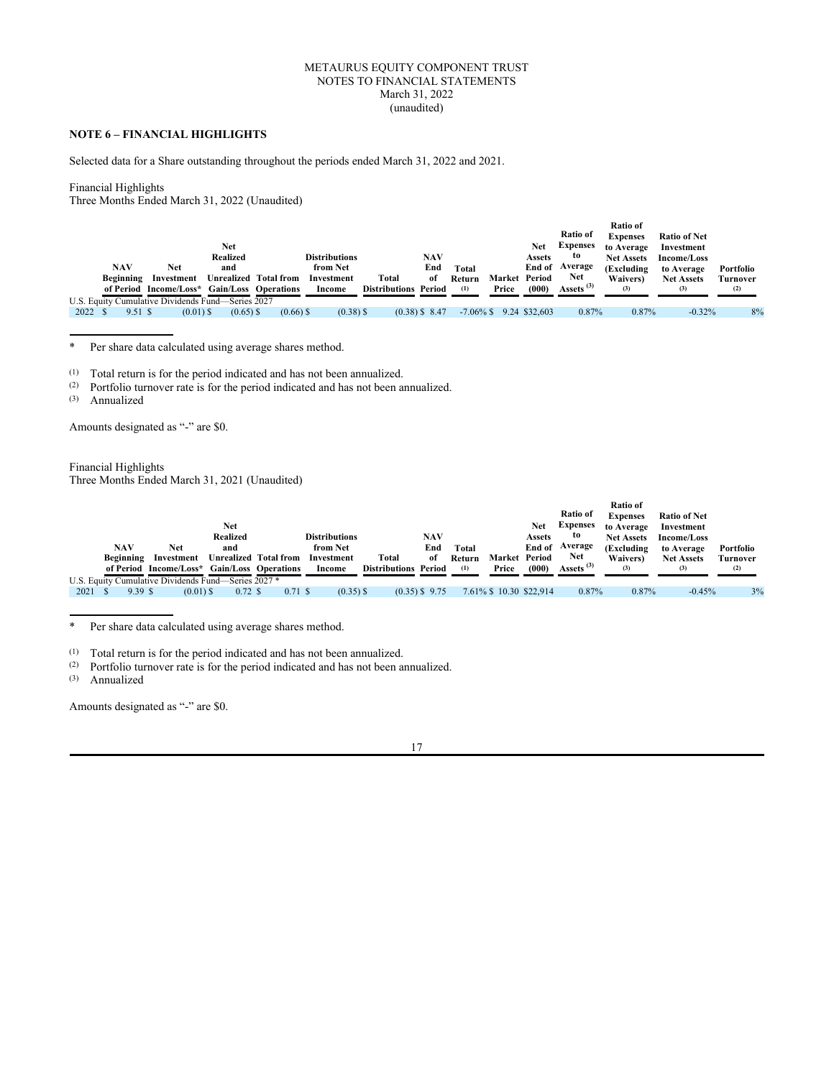## **NOTE 6 – FINANCIAL HIGHLIGHTS**

Selected data for a Share outstanding throughout the periods ended March 31, 2022 and 2021.

Financial Highlights

Three Months Ended March 31, 2022 (Unaudited)

|      | NAV<br>Beginning | Net<br>Investment<br>of Period Income/Loss* Gain/Loss Operations<br>U.S. Equity Cumulative Dividends Fund—Series 2027 | Net<br>Realized<br>and | Unrealized Total from | <b>Distributions</b><br>from Net<br>Investment<br>Income | Total<br><b>Distributions Period</b> | NAV<br>End<br>of | Total<br>Return<br>(1) | Price | <b>Net</b><br><b>Assets</b><br>Market Period<br>(000) | Ratio of<br><b>Expenses</b><br>to<br>End of Average<br>Net<br>Assets <sup>(3)</sup> | Ratio of<br>Expenses<br>to Average<br><b>Net Assets</b><br>(Excluding<br>Waivers)<br>(3) | <b>Ratio of Net</b><br>Investment<br>Income/Loss<br>to Average<br><b>Net Assets</b><br>(3) | Portfolio<br>Turnover<br>(2) |
|------|------------------|-----------------------------------------------------------------------------------------------------------------------|------------------------|-----------------------|----------------------------------------------------------|--------------------------------------|------------------|------------------------|-------|-------------------------------------------------------|-------------------------------------------------------------------------------------|------------------------------------------------------------------------------------------|--------------------------------------------------------------------------------------------|------------------------------|
| 2022 | 9.51 \$          | $(0.01)$ S                                                                                                            | $(0.65)$ \$            | $(0.66)$ \$           | $(0.38)$ \$                                              |                                      | $(0.38)$ \$ 8.47 | $-7.06\%$ \$           |       | 9.24 \$32,603                                         | 0.87%                                                                               | 0.87%                                                                                    | $-0.32%$                                                                                   | 8%                           |

\* Per share data calculated using average shares method.

(1) Total return is for the period indicated and has not been annualized.<br>(2) Portfolio turnover rate is for the period indicated and has not been a

(2) Portfolio turnover rate is for the period indicated and has not been annualized.<br>(3) Annualized

(3) Annualized

Amounts designated as "-" are \$0.

## Financial Highlights

Three Months Ended March 31, 2021 (Unaudited)

|      | <b>NAV</b><br>Beginning | Net<br>Investment<br>of Period Income/Loss* Gain/Loss Operations<br>U.S. Equity Cumulative Dividends Fund—Series 2027 <sup>*</sup> | Net<br><b>Realized</b><br>and | <b>Unrealized Total from</b> | <b>Distributions</b><br>from Net<br>Investment<br>Income | Total<br><b>Distributions Period</b> | NAV<br>End<br>of | Total<br>Return<br>(1) | Price | Net<br><b>Assets</b><br>End of<br>Market Period<br>(000) | Ratio of<br><b>Expenses</b><br>to<br>Average<br><b>Net</b><br>Assets <sup>(3)</sup> | Ratio of<br>Expenses<br>to Average<br><b>Net Assets</b><br>(Excluding<br>Waivers)<br>(3) | <b>Ratio of Net</b><br>Investment<br>Income/Loss<br>to Average<br><b>Net Assets</b><br>(3) | Portfolio<br>Turnover<br>(2) |
|------|-------------------------|------------------------------------------------------------------------------------------------------------------------------------|-------------------------------|------------------------------|----------------------------------------------------------|--------------------------------------|------------------|------------------------|-------|----------------------------------------------------------|-------------------------------------------------------------------------------------|------------------------------------------------------------------------------------------|--------------------------------------------------------------------------------------------|------------------------------|
| 2021 | 9.39S                   | $(0.01)$ S                                                                                                                         | 0.72S                         | 0.71S                        | $(0.35)$ \$                                              |                                      | $(0.35)$ \$ 9.75 |                        |       | 7.61% \$10.30 \$22.914                                   | 0.87%                                                                               | 0.87%                                                                                    | $-0.45%$                                                                                   | 3%                           |

\* Per share data calculated using average shares method.

(1) Total return is for the period indicated and has not been annualized.<br>(2) Portfolio turnover rate is for the period indicated and has not been an

(2) Portfolio turnover rate is for the period indicated and has not been annualized.<br>(3) Annualized

(3) Annualized

Amounts designated as "-" are \$0.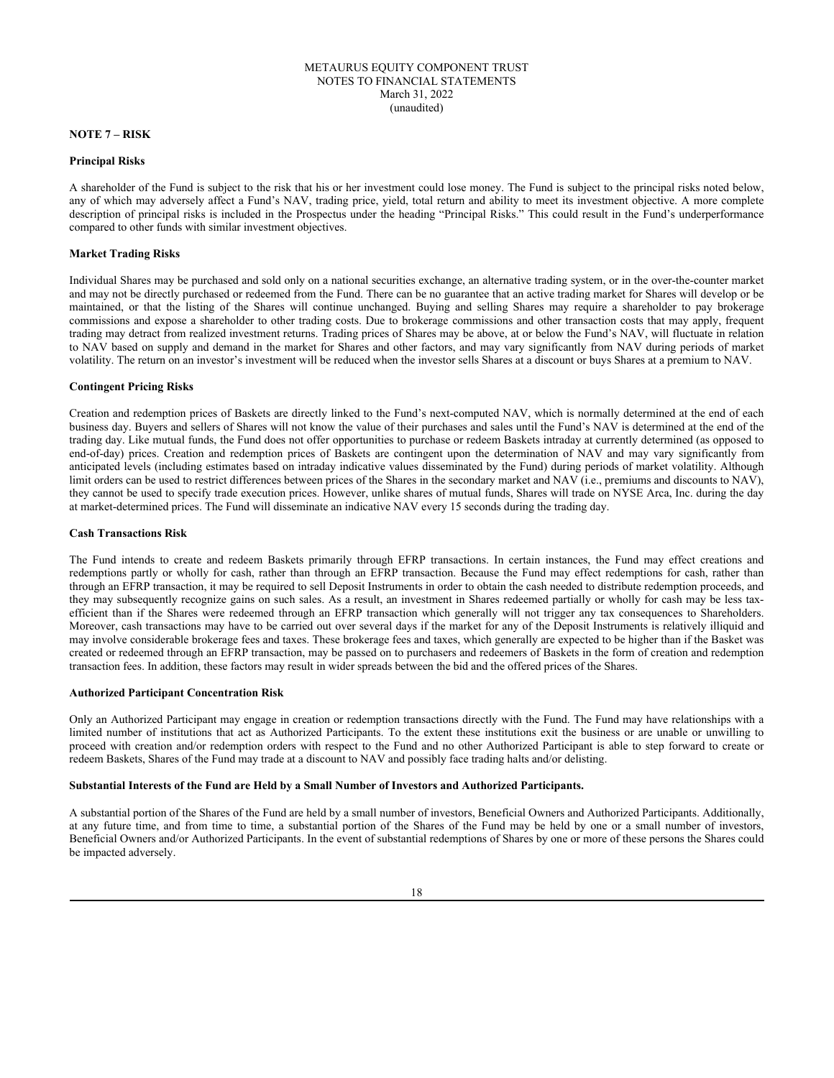#### **NOTE 7 – RISK**

#### **Principal Risks**

A shareholder of the Fund is subject to the risk that his or her investment could lose money. The Fund is subject to the principal risks noted below, any of which may adversely affect a Fund's NAV, trading price, yield, total return and ability to meet its investment objective. A more complete description of principal risks is included in the Prospectus under the heading "Principal Risks." This could result in the Fund's underperformance compared to other funds with similar investment objectives.

## **Market Trading Risks**

Individual Shares may be purchased and sold only on a national securities exchange, an alternative trading system, or in the over-the-counter market and may not be directly purchased or redeemed from the Fund. There can be no guarantee that an active trading market for Shares will develop or be maintained, or that the listing of the Shares will continue unchanged. Buying and selling Shares may require a shareholder to pay brokerage commissions and expose a shareholder to other trading costs. Due to brokerage commissions and other transaction costs that may apply, frequent trading may detract from realized investment returns. Trading prices of Shares may be above, at or below the Fund's NAV, will fluctuate in relation to NAV based on supply and demand in the market for Shares and other factors, and may vary significantly from NAV during periods of market volatility. The return on an investor's investment will be reduced when the investor sells Shares at a discount or buys Shares at a premium to NAV.

#### **Contingent Pricing Risks**

Creation and redemption prices of Baskets are directly linked to the Fund's next-computed NAV, which is normally determined at the end of each business day. Buyers and sellers of Shares will not know the value of their purchases and sales until the Fund's NAV is determined at the end of the trading day. Like mutual funds, the Fund does not offer opportunities to purchase or redeem Baskets intraday at currently determined (as opposed to end-of-day) prices. Creation and redemption prices of Baskets are contingent upon the determination of NAV and may vary significantly from anticipated levels (including estimates based on intraday indicative values disseminated by the Fund) during periods of market volatility. Although limit orders can be used to restrict differences between prices of the Shares in the secondary market and NAV (i.e., premiums and discounts to NAV), they cannot be used to specify trade execution prices. However, unlike shares of mutual funds, Shares will trade on NYSE Arca, Inc. during the day at market-determined prices. The Fund will disseminate an indicative NAV every 15 seconds during the trading day.

#### **Cash Transactions Risk**

The Fund intends to create and redeem Baskets primarily through EFRP transactions. In certain instances, the Fund may effect creations and redemptions partly or wholly for cash, rather than through an EFRP transaction. Because the Fund may effect redemptions for cash, rather than through an EFRP transaction, it may be required to sell Deposit Instruments in order to obtain the cash needed to distribute redemption proceeds, and they may subsequently recognize gains on such sales. As a result, an investment in Shares redeemed partially or wholly for cash may be less taxefficient than if the Shares were redeemed through an EFRP transaction which generally will not trigger any tax consequences to Shareholders. Moreover, cash transactions may have to be carried out over several days if the market for any of the Deposit Instruments is relatively illiquid and may involve considerable brokerage fees and taxes. These brokerage fees and taxes, which generally are expected to be higher than if the Basket was created or redeemed through an EFRP transaction, may be passed on to purchasers and redeemers of Baskets in the form of creation and redemption transaction fees. In addition, these factors may result in wider spreads between the bid and the offered prices of the Shares.

### **Authorized Participant Concentration Risk**

Only an Authorized Participant may engage in creation or redemption transactions directly with the Fund. The Fund may have relationships with a limited number of institutions that act as Authorized Participants. To the extent these institutions exit the business or are unable or unwilling to proceed with creation and/or redemption orders with respect to the Fund and no other Authorized Participant is able to step forward to create or redeem Baskets, Shares of the Fund may trade at a discount to NAV and possibly face trading halts and/or delisting.

#### **Substantial Interests of the Fund are Held by a Small Number of Investors and Authorized Participants.**

A substantial portion of the Shares of the Fund are held by a small number of investors, Beneficial Owners and Authorized Participants. Additionally, at any future time, and from time to time, a substantial portion of the Shares of the Fund may be held by one or a small number of investors, Beneficial Owners and/or Authorized Participants. In the event of substantial redemptions of Shares by one or more of these persons the Shares could be impacted adversely.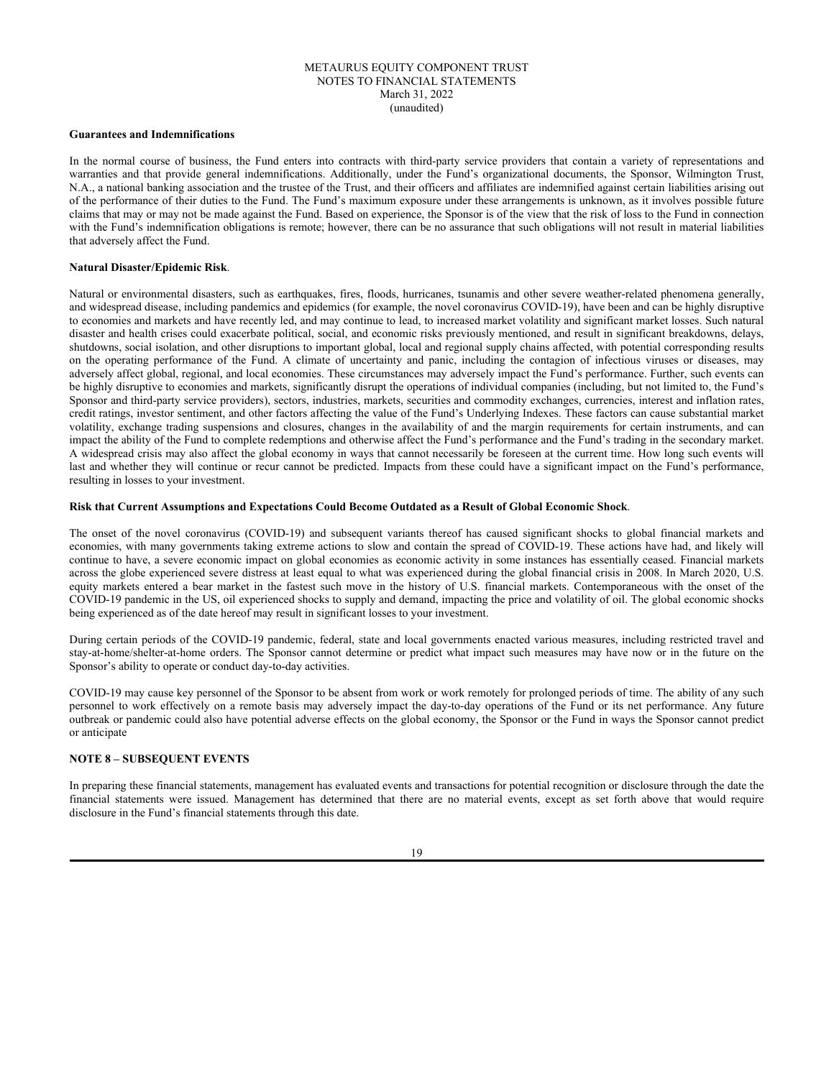## **Guarantees and Indemnifications**

In the normal course of business, the Fund enters into contracts with third-party service providers that contain a variety of representations and warranties and that provide general indemnifications. Additionally, under the Fund's organizational documents, the Sponsor, Wilmington Trust, N.A., a national banking association and the trustee of the Trust, and their officers and affiliates are indemnified against certain liabilities arising out of the performance of their duties to the Fund. The Fund's maximum exposure under these arrangements is unknown, as it involves possible future claims that may or may not be made against the Fund. Based on experience, the Sponsor is of the view that the risk of loss to the Fund in connection with the Fund's indemnification obligations is remote; however, there can be no assurance that such obligations will not result in material liabilities that adversely affect the Fund.

## **Natural Disaster/Epidemic Risk**.

Natural or environmental disasters, such as earthquakes, fires, floods, hurricanes, tsunamis and other severe weather-related phenomena generally, and widespread disease, including pandemics and epidemics (for example, the novel coronavirus COVID-19), have been and can be highly disruptive to economies and markets and have recently led, and may continue to lead, to increased market volatility and significant market losses. Such natural disaster and health crises could exacerbate political, social, and economic risks previously mentioned, and result in significant breakdowns, delays, shutdowns, social isolation, and other disruptions to important global, local and regional supply chains affected, with potential corresponding results on the operating performance of the Fund. A climate of uncertainty and panic, including the contagion of infectious viruses or diseases, may adversely affect global, regional, and local economies. These circumstances may adversely impact the Fund's performance. Further, such events can be highly disruptive to economies and markets, significantly disrupt the operations of individual companies (including, but not limited to, the Fund's Sponsor and third-party service providers), sectors, industries, markets, securities and commodity exchanges, currencies, interest and inflation rates, credit ratings, investor sentiment, and other factors affecting the value of the Fund's Underlying Indexes. These factors can cause substantial market volatility, exchange trading suspensions and closures, changes in the availability of and the margin requirements for certain instruments, and can impact the ability of the Fund to complete redemptions and otherwise affect the Fund's performance and the Fund's trading in the secondary market. A widespread crisis may also affect the global economy in ways that cannot necessarily be foreseen at the current time. How long such events will last and whether they will continue or recur cannot be predicted. Impacts from these could have a significant impact on the Fund's performance, resulting in losses to your investment.

#### **Risk that Current Assumptions and Expectations Could Become Outdated as a Result of Global Economic Shock**.

The onset of the novel coronavirus (COVID-19) and subsequent variants thereof has caused significant shocks to global financial markets and economies, with many governments taking extreme actions to slow and contain the spread of COVID-19. These actions have had, and likely will continue to have, a severe economic impact on global economies as economic activity in some instances has essentially ceased. Financial markets across the globe experienced severe distress at least equal to what was experienced during the global financial crisis in 2008. In March 2020, U.S. equity markets entered a bear market in the fastest such move in the history of U.S. financial markets. Contemporaneous with the onset of the COVID-19 pandemic in the US, oil experienced shocks to supply and demand, impacting the price and volatility of oil. The global economic shocks being experienced as of the date hereof may result in significant losses to your investment.

During certain periods of the COVID-19 pandemic, federal, state and local governments enacted various measures, including restricted travel and stay-at-home/shelter-at-home orders. The Sponsor cannot determine or predict what impact such measures may have now or in the future on the Sponsor's ability to operate or conduct day-to-day activities.

COVID-19 may cause key personnel of the Sponsor to be absent from work or work remotely for prolonged periods of time. The ability of any such personnel to work effectively on a remote basis may adversely impact the day-to-day operations of the Fund or its net performance. Any future outbreak or pandemic could also have potential adverse effects on the global economy, the Sponsor or the Fund in ways the Sponsor cannot predict or anticipate

## **NOTE 8 – SUBSEQUENT EVENTS**

In preparing these financial statements, management has evaluated events and transactions for potential recognition or disclosure through the date the financial statements were issued. Management has determined that there are no material events, except as set forth above that would require disclosure in the Fund's financial statements through this date.

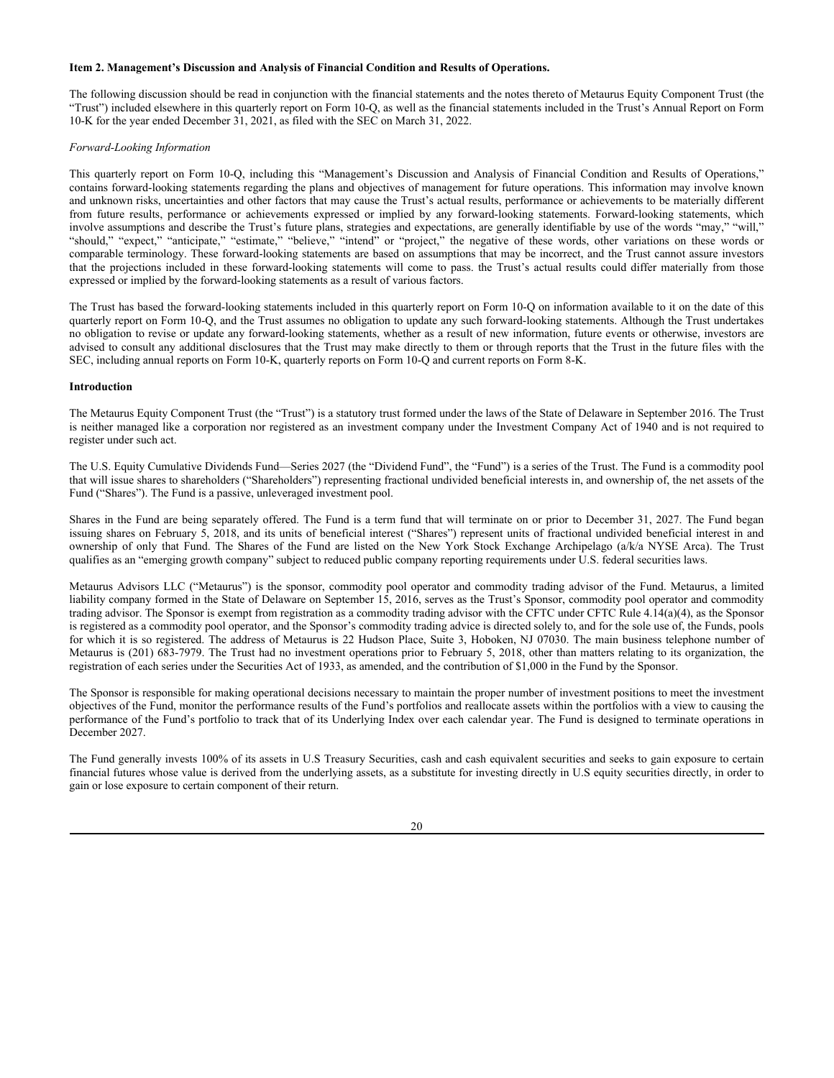#### **Item 2. Management's Discussion and Analysis of Financial Condition and Results of Operations.**

The following discussion should be read in conjunction with the financial statements and the notes thereto of Metaurus Equity Component Trust (the "Trust") included elsewhere in this quarterly report on Form 10-Q, as well as the financial statements included in the Trust's Annual Report on Form 10-K for the year ended December 31, 2021, as filed with the SEC on March 31, 2022.

#### *Forward-Looking Information*

This quarterly report on Form 10-Q, including this "Management's Discussion and Analysis of Financial Condition and Results of Operations," contains forward-looking statements regarding the plans and objectives of management for future operations. This information may involve known and unknown risks, uncertainties and other factors that may cause the Trust's actual results, performance or achievements to be materially different from future results, performance or achievements expressed or implied by any forward-looking statements. Forward-looking statements, which involve assumptions and describe the Trust's future plans, strategies and expectations, are generally identifiable by use of the words "may," "will," "should," "expect," "anticipate," "estimate," "believe," "intend" or "project," the negative of these words, other variations on these words or comparable terminology. These forward-looking statements are based on assumptions that may be incorrect, and the Trust cannot assure investors that the projections included in these forward-looking statements will come to pass. the Trust's actual results could differ materially from those expressed or implied by the forward-looking statements as a result of various factors.

The Trust has based the forward-looking statements included in this quarterly report on Form 10-Q on information available to it on the date of this quarterly report on Form 10-Q, and the Trust assumes no obligation to update any such forward-looking statements. Although the Trust undertakes no obligation to revise or update any forward-looking statements, whether as a result of new information, future events or otherwise, investors are advised to consult any additional disclosures that the Trust may make directly to them or through reports that the Trust in the future files with the SEC, including annual reports on Form 10-K, quarterly reports on Form 10-Q and current reports on Form 8-K.

#### **Introduction**

The Metaurus Equity Component Trust (the "Trust") is a statutory trust formed under the laws of the State of Delaware in September 2016. The Trust is neither managed like a corporation nor registered as an investment company under the Investment Company Act of 1940 and is not required to register under such act.

The U.S. Equity Cumulative Dividends Fund—Series 2027 (the "Dividend Fund", the "Fund") is a series of the Trust. The Fund is a commodity pool that will issue shares to shareholders ("Shareholders") representing fractional undivided beneficial interests in, and ownership of, the net assets of the Fund ("Shares"). The Fund is a passive, unleveraged investment pool.

Shares in the Fund are being separately offered. The Fund is a term fund that will terminate on or prior to December 31, 2027. The Fund began issuing shares on February 5, 2018, and its units of beneficial interest ("Shares") represent units of fractional undivided beneficial interest in and ownership of only that Fund. The Shares of the Fund are listed on the New York Stock Exchange Archipelago (a/k/a NYSE Arca). The Trust qualifies as an "emerging growth company" subject to reduced public company reporting requirements under U.S. federal securities laws.

Metaurus Advisors LLC ("Metaurus") is the sponsor, commodity pool operator and commodity trading advisor of the Fund. Metaurus, a limited liability company formed in the State of Delaware on September 15, 2016, serves as the Trust's Sponsor, commodity pool operator and commodity trading advisor. The Sponsor is exempt from registration as a commodity trading advisor with the CFTC under CFTC Rule 4.14(a)(4), as the Sponsor is registered as a commodity pool operator, and the Sponsor's commodity trading advice is directed solely to, and for the sole use of, the Funds, pools for which it is so registered. The address of Metaurus is 22 Hudson Place, Suite 3, Hoboken, NJ 07030. The main business telephone number of Metaurus is (201) 683-7979. The Trust had no investment operations prior to February 5, 2018, other than matters relating to its organization, the registration of each series under the Securities Act of 1933, as amended, and the contribution of \$1,000 in the Fund by the Sponsor.

The Sponsor is responsible for making operational decisions necessary to maintain the proper number of investment positions to meet the investment objectives of the Fund, monitor the performance results of the Fund's portfolios and reallocate assets within the portfolios with a view to causing the performance of the Fund's portfolio to track that of its Underlying Index over each calendar year. The Fund is designed to terminate operations in December 2027.

The Fund generally invests 100% of its assets in U.S Treasury Securities, cash and cash equivalent securities and seeks to gain exposure to certain financial futures whose value is derived from the underlying assets, as a substitute for investing directly in U.S equity securities directly, in order to gain or lose exposure to certain component of their return.

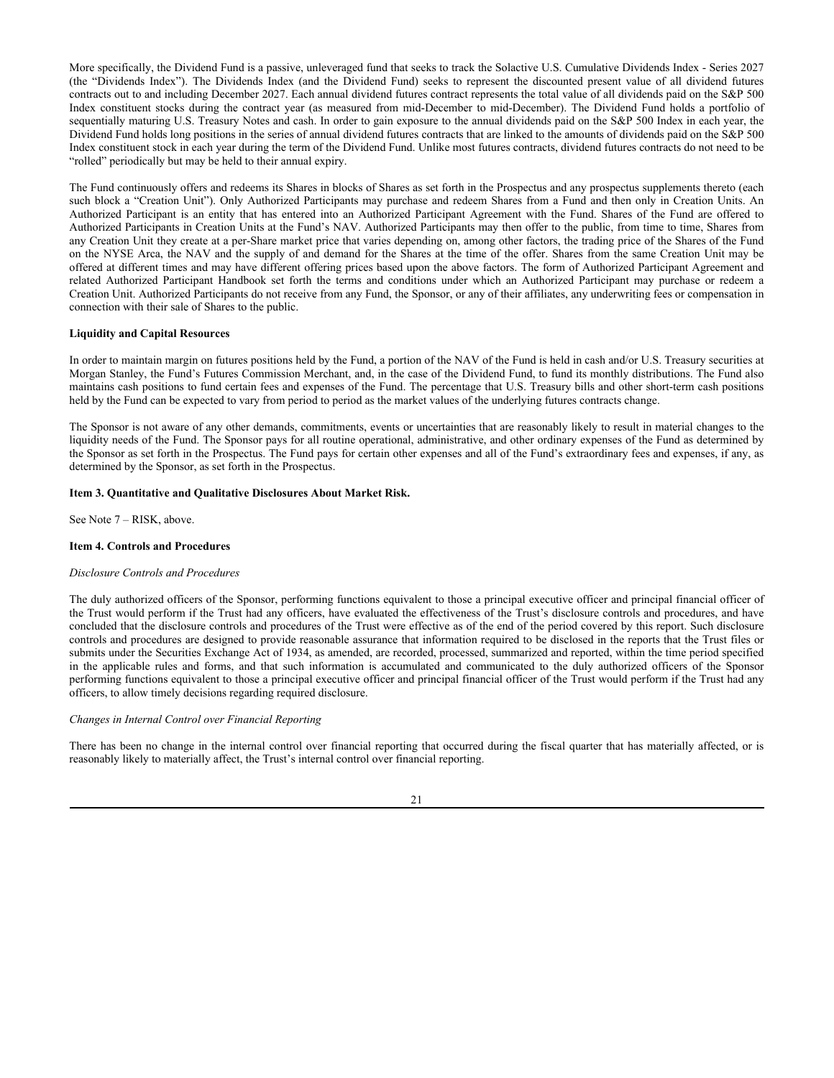More specifically, the Dividend Fund is a passive, unleveraged fund that seeks to track the Solactive U.S. Cumulative Dividends Index - Series 2027 (the "Dividends Index"). The Dividends Index (and the Dividend Fund) seeks to represent the discounted present value of all dividend futures contracts out to and including December 2027. Each annual dividend futures contract represents the total value of all dividends paid on the S&P 500 Index constituent stocks during the contract year (as measured from mid-December to mid-December). The Dividend Fund holds a portfolio of sequentially maturing U.S. Treasury Notes and cash. In order to gain exposure to the annual dividends paid on the S&P 500 Index in each year, the Dividend Fund holds long positions in the series of annual dividend futures contracts that are linked to the amounts of dividends paid on the S&P 500 Index constituent stock in each year during the term of the Dividend Fund. Unlike most futures contracts, dividend futures contracts do not need to be "rolled" periodically but may be held to their annual expiry.

The Fund continuously offers and redeems its Shares in blocks of Shares as set forth in the Prospectus and any prospectus supplements thereto (each such block a "Creation Unit"). Only Authorized Participants may purchase and redeem Shares from a Fund and then only in Creation Units. An Authorized Participant is an entity that has entered into an Authorized Participant Agreement with the Fund. Shares of the Fund are offered to Authorized Participants in Creation Units at the Fund's NAV. Authorized Participants may then offer to the public, from time to time, Shares from any Creation Unit they create at a per-Share market price that varies depending on, among other factors, the trading price of the Shares of the Fund on the NYSE Arca, the NAV and the supply of and demand for the Shares at the time of the offer. Shares from the same Creation Unit may be offered at different times and may have different offering prices based upon the above factors. The form of Authorized Participant Agreement and related Authorized Participant Handbook set forth the terms and conditions under which an Authorized Participant may purchase or redeem a Creation Unit. Authorized Participants do not receive from any Fund, the Sponsor, or any of their affiliates, any underwriting fees or compensation in connection with their sale of Shares to the public.

## **Liquidity and Capital Resources**

In order to maintain margin on futures positions held by the Fund, a portion of the NAV of the Fund is held in cash and/or U.S. Treasury securities at Morgan Stanley, the Fund's Futures Commission Merchant, and, in the case of the Dividend Fund, to fund its monthly distributions. The Fund also maintains cash positions to fund certain fees and expenses of the Fund. The percentage that U.S. Treasury bills and other short-term cash positions held by the Fund can be expected to vary from period to period as the market values of the underlying futures contracts change.

The Sponsor is not aware of any other demands, commitments, events or uncertainties that are reasonably likely to result in material changes to the liquidity needs of the Fund. The Sponsor pays for all routine operational, administrative, and other ordinary expenses of the Fund as determined by the Sponsor as set forth in the Prospectus. The Fund pays for certain other expenses and all of the Fund's extraordinary fees and expenses, if any, as determined by the Sponsor, as set forth in the Prospectus.

## **Item 3. Quantitative and Qualitative Disclosures About Market Risk.**

See Note 7 – RISK, above.

## **Item 4. Controls and Procedures**

#### *Disclosure Controls and Procedures*

The duly authorized officers of the Sponsor, performing functions equivalent to those a principal executive officer and principal financial officer of the Trust would perform if the Trust had any officers, have evaluated the effectiveness of the Trust's disclosure controls and procedures, and have concluded that the disclosure controls and procedures of the Trust were effective as of the end of the period covered by this report. Such disclosure controls and procedures are designed to provide reasonable assurance that information required to be disclosed in the reports that the Trust files or submits under the Securities Exchange Act of 1934, as amended, are recorded, processed, summarized and reported, within the time period specified in the applicable rules and forms, and that such information is accumulated and communicated to the duly authorized officers of the Sponsor performing functions equivalent to those a principal executive officer and principal financial officer of the Trust would perform if the Trust had any officers, to allow timely decisions regarding required disclosure.

#### *Changes in Internal Control over Financial Reporting*

There has been no change in the internal control over financial reporting that occurred during the fiscal quarter that has materially affected, or is reasonably likely to materially affect, the Trust's internal control over financial reporting.

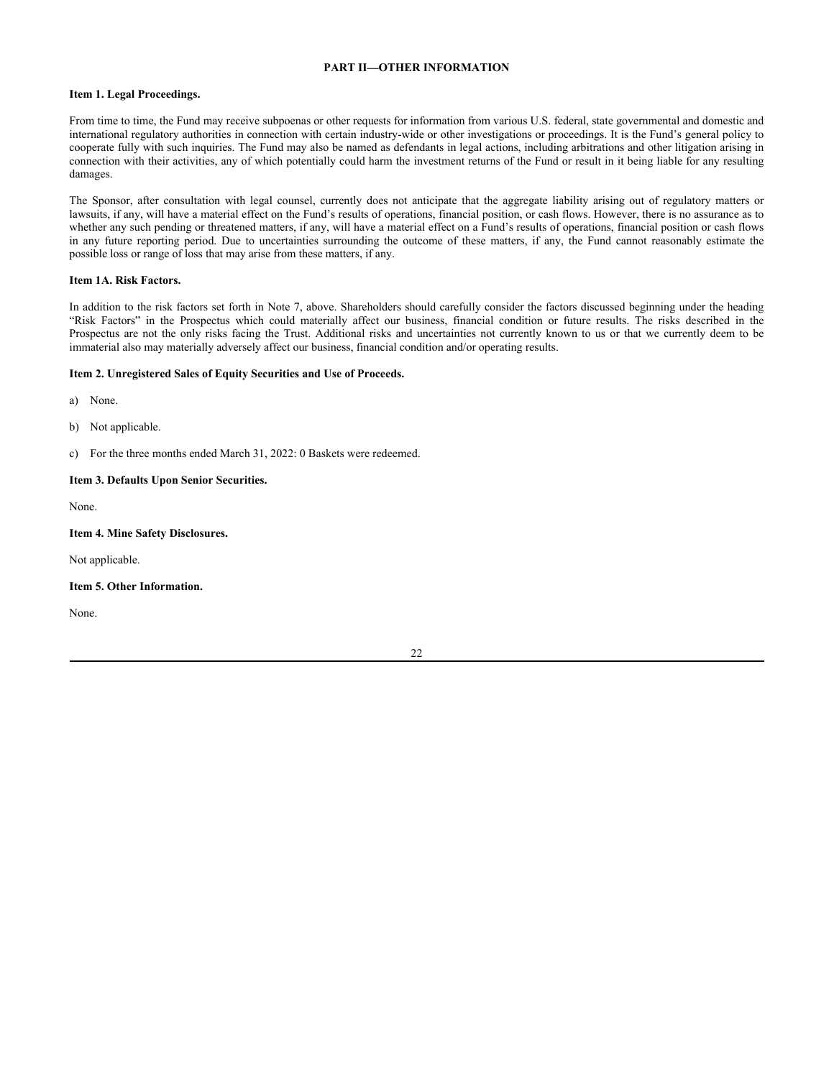## **PART II—OTHER INFORMATION**

## **Item 1. Legal Proceedings.**

From time to time, the Fund may receive subpoenas or other requests for information from various U.S. federal, state governmental and domestic and international regulatory authorities in connection with certain industry-wide or other investigations or proceedings. It is the Fund's general policy to cooperate fully with such inquiries. The Fund may also be named as defendants in legal actions, including arbitrations and other litigation arising in connection with their activities, any of which potentially could harm the investment returns of the Fund or result in it being liable for any resulting damages.

The Sponsor, after consultation with legal counsel, currently does not anticipate that the aggregate liability arising out of regulatory matters or lawsuits, if any, will have a material effect on the Fund's results of operations, financial position, or cash flows. However, there is no assurance as to whether any such pending or threatened matters, if any, will have a material effect on a Fund's results of operations, financial position or cash flows in any future reporting period. Due to uncertainties surrounding the outcome of these matters, if any, the Fund cannot reasonably estimate the possible loss or range of loss that may arise from these matters, if any.

## **Item 1A. Risk Factors.**

In addition to the risk factors set forth in Note 7, above. Shareholders should carefully consider the factors discussed beginning under the heading "Risk Factors" in the Prospectus which could materially affect our business, financial condition or future results. The risks described in the Prospectus are not the only risks facing the Trust. Additional risks and uncertainties not currently known to us or that we currently deem to be immaterial also may materially adversely affect our business, financial condition and/or operating results.

## **Item 2. Unregistered Sales of Equity Securities and Use of Proceeds.**

a) None.

b) Not applicable.

c) For the three months ended March 31, 2022: 0 Baskets were redeemed.

## **Item 3. Defaults Upon Senior Securities.**

None.

## **Item 4. Mine Safety Disclosures.**

Not applicable.

## **Item 5. Other Information.**

None.

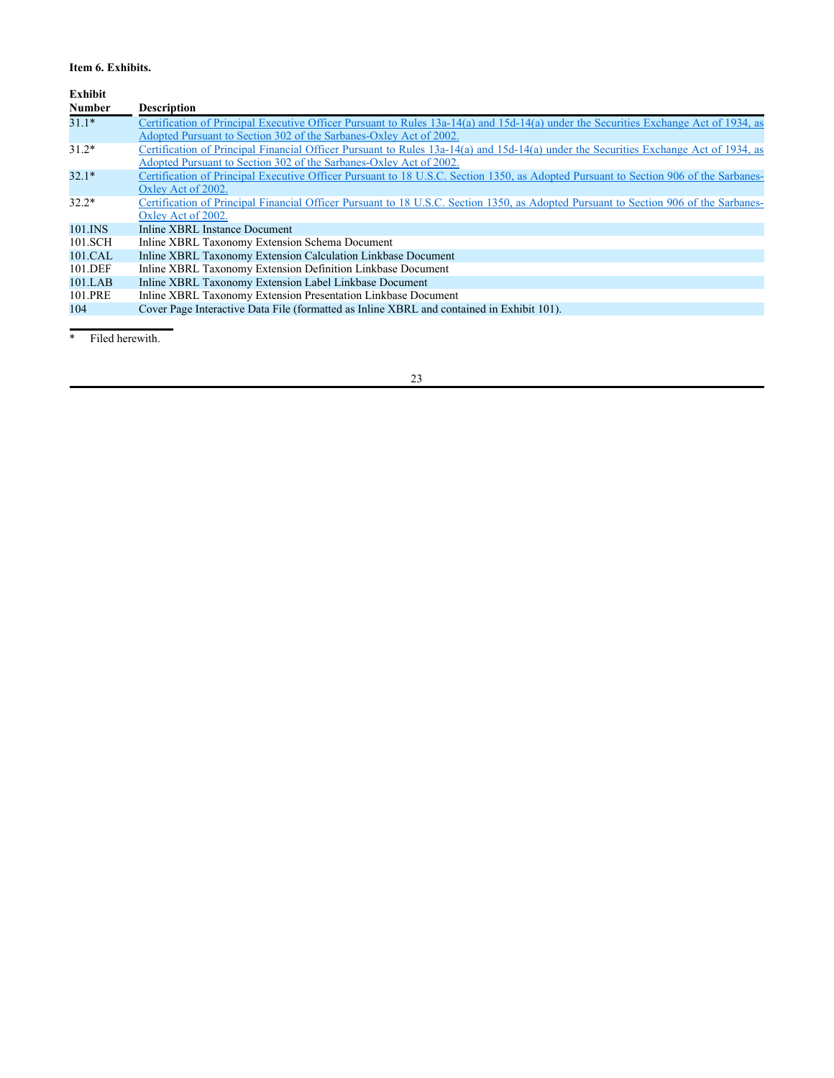# **Item 6. Exhibits.**

| Exhibit       |                                                                                                                                      |
|---------------|--------------------------------------------------------------------------------------------------------------------------------------|
| <b>Number</b> | <b>Description</b>                                                                                                                   |
| $31.1*$       | Certification of Principal Executive Officer Pursuant to Rules 13a-14(a) and 15d-14(a) under the Securities Exchange Act of 1934, as |
|               | Adopted Pursuant to Section 302 of the Sarbanes-Oxley Act of 2002.                                                                   |
| $31.2*$       | Certification of Principal Financial Officer Pursuant to Rules 13a-14(a) and 15d-14(a) under the Securities Exchange Act of 1934, as |
|               | Adopted Pursuant to Section 302 of the Sarbanes-Oxley Act of 2002.                                                                   |
| $32.1*$       | Certification of Principal Executive Officer Pursuant to 18 U.S.C. Section 1350, as Adopted Pursuant to Section 906 of the Sarbanes- |
|               | Oxley Act of 2002.                                                                                                                   |
| $32.2*$       | Certification of Principal Financial Officer Pursuant to 18 U.S.C. Section 1350, as Adopted Pursuant to Section 906 of the Sarbanes- |
|               | Oxley Act of 2002.                                                                                                                   |
| $101$ . INS   | Inline XBRL Instance Document                                                                                                        |
| 101.SCH       | Inline XBRL Taxonomy Extension Schema Document                                                                                       |
| 101.CAL       | Inline XBRL Taxonomy Extension Calculation Linkbase Document                                                                         |
| 101.DEF       | Inline XBRL Taxonomy Extension Definition Linkbase Document                                                                          |
| 101.LAB       | Inline XBRL Taxonomy Extension Label Linkbase Document                                                                               |
| 101.PRE       | Inline XBRL Taxonomy Extension Presentation Linkbase Document                                                                        |
| 104           | Cover Page Interactive Data File (formatted as Inline XBRL and contained in Exhibit 101).                                            |

\* Filed herewith.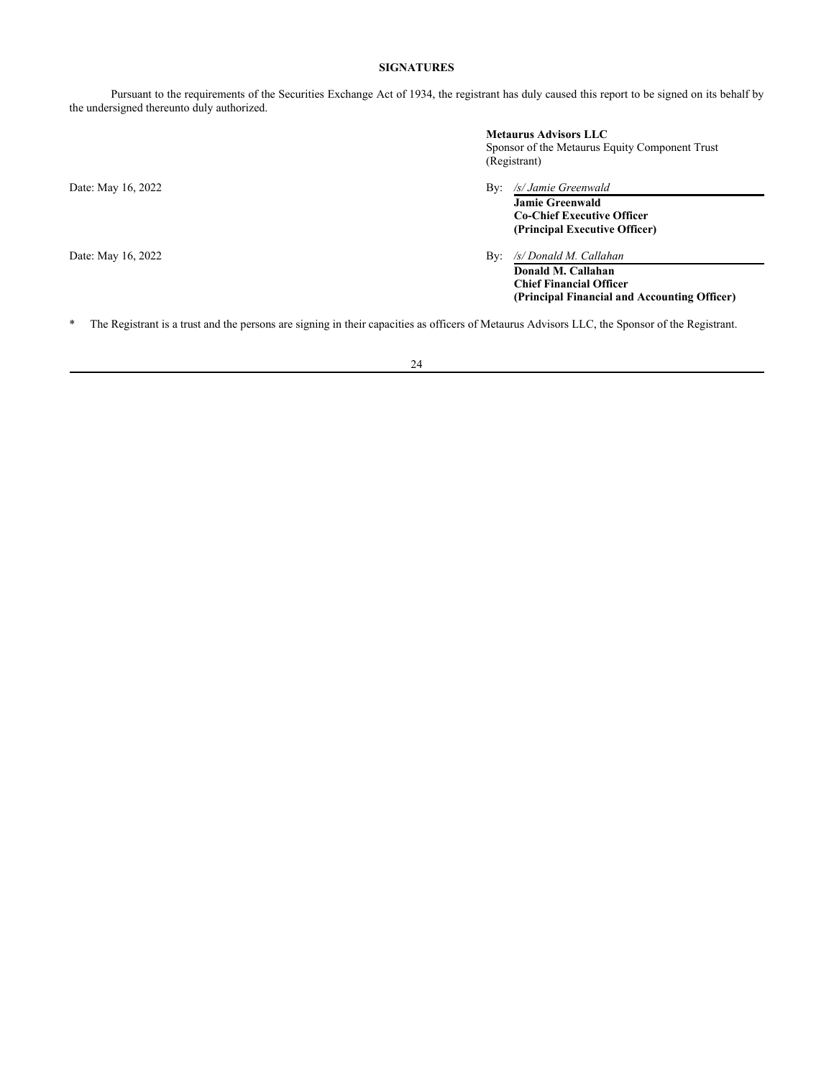## **SIGNATURES**

Pursuant to the requirements of the Securities Exchange Act of 1934, the registrant has duly caused this report to be signed on its behalf by the undersigned thereunto duly authorized.

**Metaurus Advisors LLC**

Sponsor of the Metaurus Equity Component Trust (Registrant)

Date: May 16, 2022 By: /s/ Jamie Greenwald

**Jamie Greenwald Co-Chief Executive Officer (Principal Executive Officer)**

Date: May 16, 2022 **By:** */s/ Donald M. Callahan* **Donald M. Callahan Chief Financial Officer (Principal Financial and Accounting Officer)**

\* The Registrant is a trust and the persons are signing in their capacities as officers of Metaurus Advisors LLC, the Sponsor of the Registrant.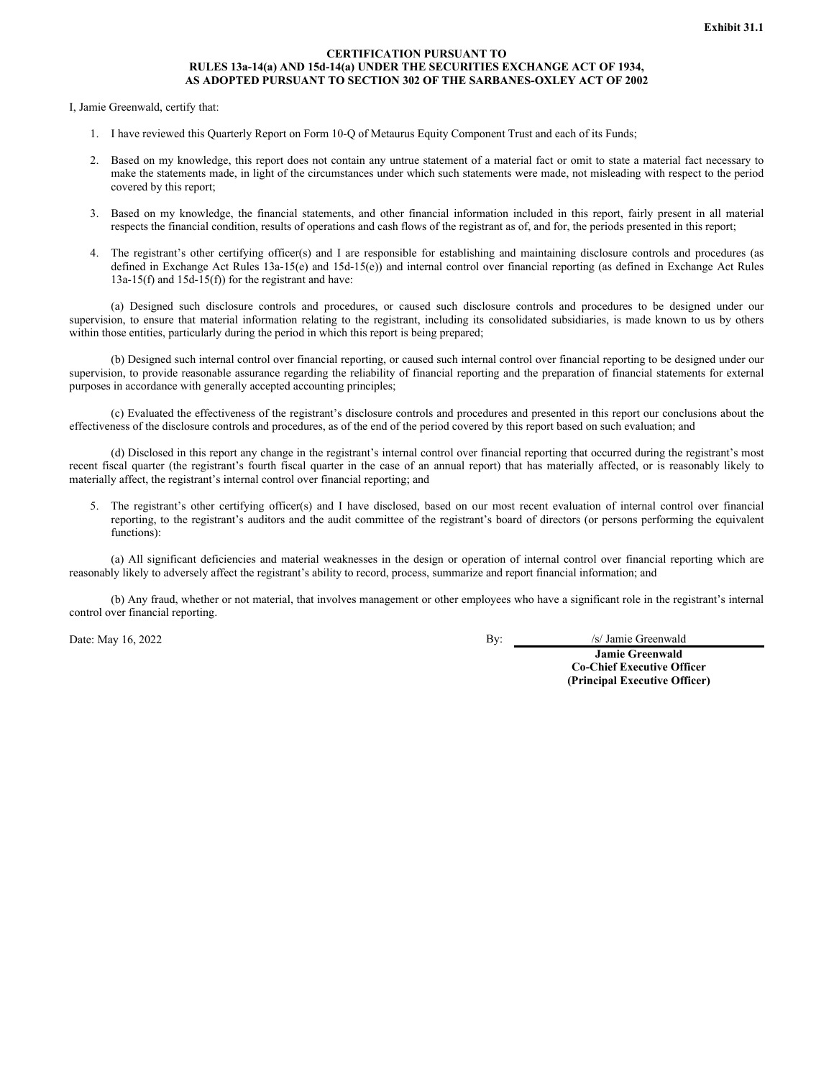## **CERTIFICATION PURSUANT TO RULES 13a-14(a) AND 15d-14(a) UNDER THE SECURITIES EXCHANGE ACT OF 1934, AS ADOPTED PURSUANT TO SECTION 302 OF THE SARBANES-OXLEY ACT OF 2002**

I, Jamie Greenwald, certify that:

- 1. I have reviewed this Quarterly Report on Form 10-Q of Metaurus Equity Component Trust and each of its Funds;
- 2. Based on my knowledge, this report does not contain any untrue statement of a material fact or omit to state a material fact necessary to make the statements made, in light of the circumstances under which such statements were made, not misleading with respect to the period covered by this report;
- 3. Based on my knowledge, the financial statements, and other financial information included in this report, fairly present in all material respects the financial condition, results of operations and cash flows of the registrant as of, and for, the periods presented in this report;
- 4. The registrant's other certifying officer(s) and I are responsible for establishing and maintaining disclosure controls and procedures (as defined in Exchange Act Rules 13a-15(e) and 15d-15(e)) and internal control over financial reporting (as defined in Exchange Act Rules  $13a-15(f)$  and  $15d-15(f)$  for the registrant and have:

(a) Designed such disclosure controls and procedures, or caused such disclosure controls and procedures to be designed under our supervision, to ensure that material information relating to the registrant, including its consolidated subsidiaries, is made known to us by others within those entities, particularly during the period in which this report is being prepared;

(b) Designed such internal control over financial reporting, or caused such internal control over financial reporting to be designed under our supervision, to provide reasonable assurance regarding the reliability of financial reporting and the preparation of financial statements for external purposes in accordance with generally accepted accounting principles;

(c) Evaluated the effectiveness of the registrant's disclosure controls and procedures and presented in this report our conclusions about the effectiveness of the disclosure controls and procedures, as of the end of the period covered by this report based on such evaluation; and

(d) Disclosed in this report any change in the registrant's internal control over financial reporting that occurred during the registrant's most recent fiscal quarter (the registrant's fourth fiscal quarter in the case of an annual report) that has materially affected, or is reasonably likely to materially affect, the registrant's internal control over financial reporting; and

5. The registrant's other certifying officer(s) and I have disclosed, based on our most recent evaluation of internal control over financial reporting, to the registrant's auditors and the audit committee of the registrant's board of directors (or persons performing the equivalent functions):

(a) All significant deficiencies and material weaknesses in the design or operation of internal control over financial reporting which are reasonably likely to adversely affect the registrant's ability to record, process, summarize and report financial information; and

(b) Any fraud, whether or not material, that involves management or other employees who have a significant role in the registrant's internal control over financial reporting.

Date: May 16, 2022 By: /s/ Jamie Greenwald

**Jamie Greenwald Co-Chief Executive Officer (Principal Executive Officer)**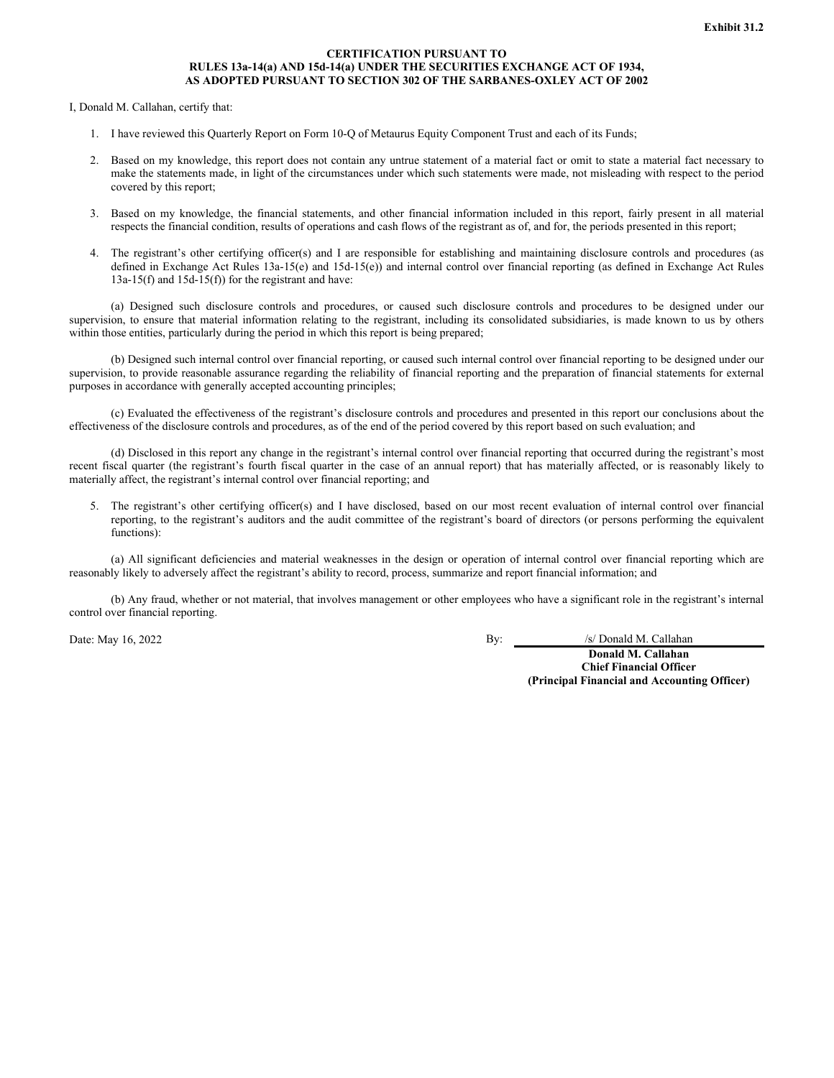## **CERTIFICATION PURSUANT TO RULES 13a-14(a) AND 15d-14(a) UNDER THE SECURITIES EXCHANGE ACT OF 1934, AS ADOPTED PURSUANT TO SECTION 302 OF THE SARBANES-OXLEY ACT OF 2002**

I, Donald M. Callahan, certify that:

- 1. I have reviewed this Quarterly Report on Form 10-Q of Metaurus Equity Component Trust and each of its Funds;
- 2. Based on my knowledge, this report does not contain any untrue statement of a material fact or omit to state a material fact necessary to make the statements made, in light of the circumstances under which such statements were made, not misleading with respect to the period covered by this report;
- 3. Based on my knowledge, the financial statements, and other financial information included in this report, fairly present in all material respects the financial condition, results of operations and cash flows of the registrant as of, and for, the periods presented in this report;
- 4. The registrant's other certifying officer(s) and I are responsible for establishing and maintaining disclosure controls and procedures (as defined in Exchange Act Rules 13a-15(e) and 15d-15(e)) and internal control over financial reporting (as defined in Exchange Act Rules  $13a-15(f)$  and  $15d-15(f)$  for the registrant and have:

(a) Designed such disclosure controls and procedures, or caused such disclosure controls and procedures to be designed under our supervision, to ensure that material information relating to the registrant, including its consolidated subsidiaries, is made known to us by others within those entities, particularly during the period in which this report is being prepared;

(b) Designed such internal control over financial reporting, or caused such internal control over financial reporting to be designed under our supervision, to provide reasonable assurance regarding the reliability of financial reporting and the preparation of financial statements for external purposes in accordance with generally accepted accounting principles;

(c) Evaluated the effectiveness of the registrant's disclosure controls and procedures and presented in this report our conclusions about the effectiveness of the disclosure controls and procedures, as of the end of the period covered by this report based on such evaluation; and

(d) Disclosed in this report any change in the registrant's internal control over financial reporting that occurred during the registrant's most recent fiscal quarter (the registrant's fourth fiscal quarter in the case of an annual report) that has materially affected, or is reasonably likely to materially affect, the registrant's internal control over financial reporting; and

5. The registrant's other certifying officer(s) and I have disclosed, based on our most recent evaluation of internal control over financial reporting, to the registrant's auditors and the audit committee of the registrant's board of directors (or persons performing the equivalent functions):

(a) All significant deficiencies and material weaknesses in the design or operation of internal control over financial reporting which are reasonably likely to adversely affect the registrant's ability to record, process, summarize and report financial information; and

(b) Any fraud, whether or not material, that involves management or other employees who have a significant role in the registrant's internal control over financial reporting.

Date: May 16, 2022 **By:** /s/ Donald M. Callahan

**Donald M. Callahan Chief Financial Officer (Principal Financial and Accounting Officer)**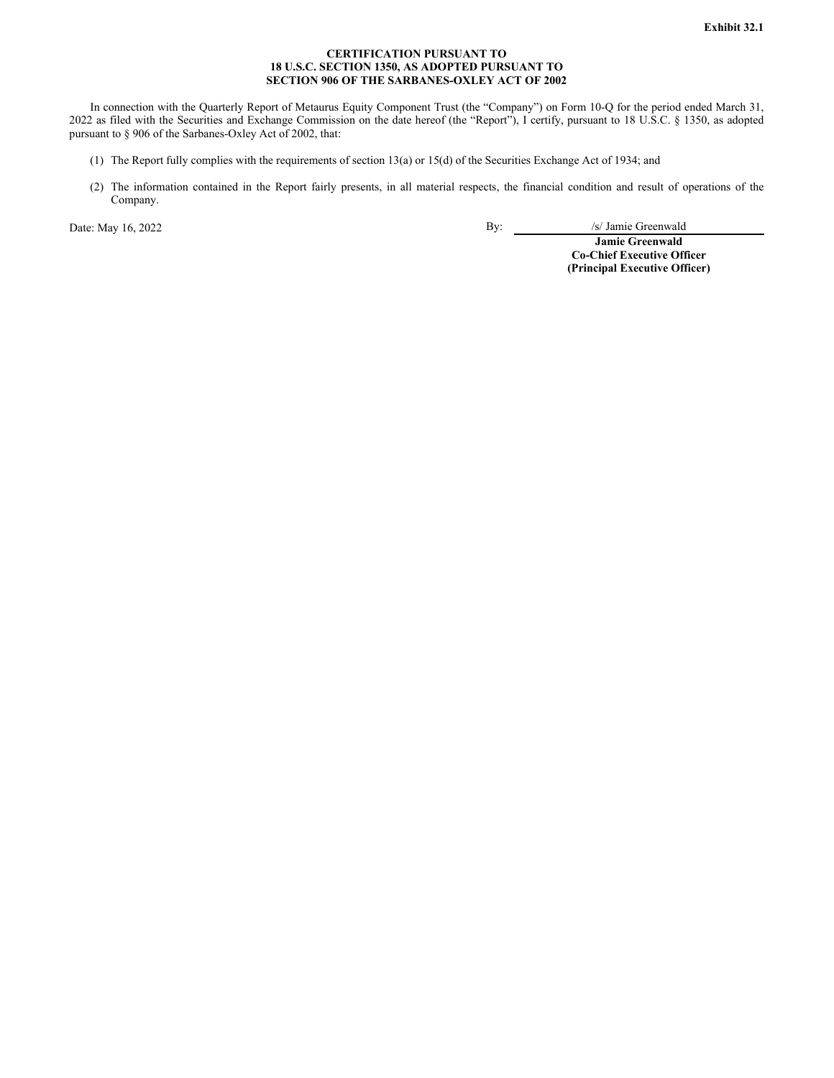## **CERTIFICATION PURSUANT TO 18 U.S.C. SECTION 1350, AS ADOPTED PURSUANT TO SECTION 906 OF THE SARBANES-OXLEY ACT OF 2002**

In connection with the Quarterly Report of Metaurus Equity Component Trust (the "Company") on Form 10-Q for the period ended March 31, 2022 as filed with the Securities and Exchange Commission on the date hereof (the "Report"), I certify, pursuant to 18 U.S.C. § 1350, as adopted pursuant to § 906 of the Sarbanes-Oxley Act of 2002, that:

- (1) The Report fully complies with the requirements of section 13(a) or 15(d) of the Securities Exchange Act of 1934; and
- (2) The information contained in the Report fairly presents, in all material respects, the financial condition and result of operations of the Company.

Date: May 16, 2022 <br>By: /s/ Jamie Greenwald

**Jamie Greenwald Co-Chief Executive Officer (Principal Executive Officer)**